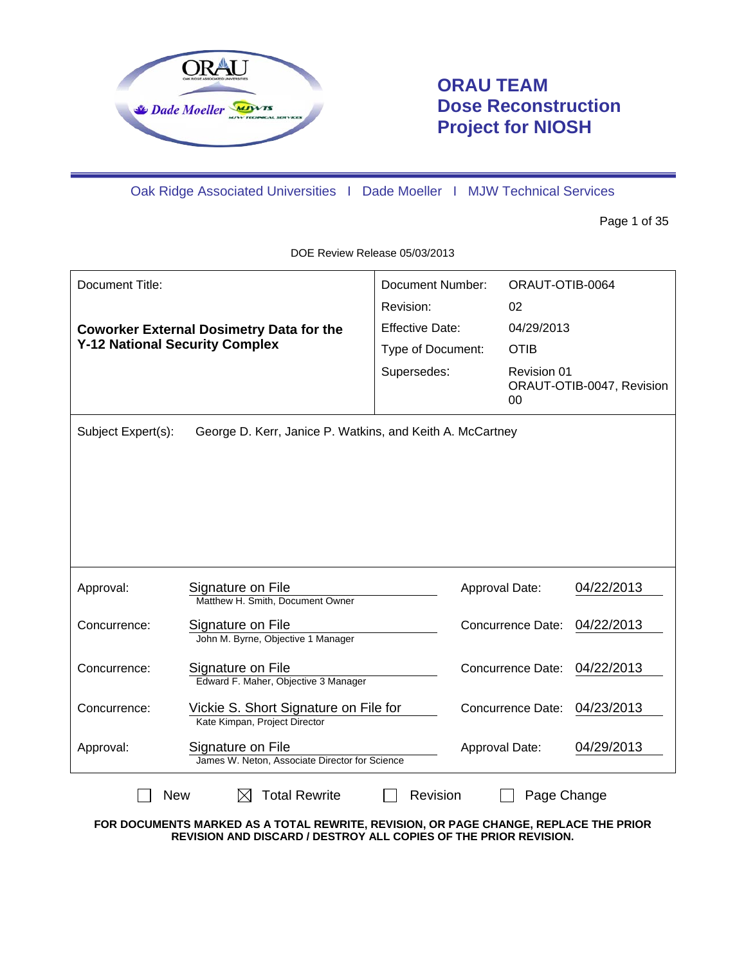

# **ORAU TEAM Dose Reconstruction Project for NIOSH**

Oak Ridge Associated Universities I Dade Moeller I MJW Technical Services

Page 1 of 35

DOE Review Release 05/03/2013

| Document Title:                       |                                                                        | Document Number:<br>Revision: | ORAUT-OTIB-0064<br>02 |                           |
|---------------------------------------|------------------------------------------------------------------------|-------------------------------|-----------------------|---------------------------|
|                                       | <b>Coworker External Dosimetry Data for the</b>                        | <b>Effective Date:</b>        | 04/29/2013            |                           |
| <b>Y-12 National Security Complex</b> |                                                                        | Type of Document:             | <b>OTIB</b>           |                           |
|                                       |                                                                        | Supersedes:                   | Revision 01<br>00     | ORAUT-OTIB-0047, Revision |
| Subject Expert(s):                    | George D. Kerr, Janice P. Watkins, and Keith A. McCartney              |                               |                       |                           |
|                                       |                                                                        |                               |                       |                           |
|                                       |                                                                        |                               |                       |                           |
|                                       |                                                                        |                               |                       |                           |
|                                       |                                                                        |                               |                       |                           |
|                                       |                                                                        |                               |                       |                           |
| Approval:                             | Signature on File<br>Matthew H. Smith, Document Owner                  |                               | Approval Date:        | 04/22/2013                |
| Concurrence:                          | Signature on File<br>John M. Byrne, Objective 1 Manager                |                               | Concurrence Date:     | 04/22/2013                |
| Concurrence:                          | Signature on File<br>Edward F. Maher, Objective 3 Manager              |                               | Concurrence Date:     | 04/22/2013                |
| Concurrence:                          | Vickie S. Short Signature on File for<br>Kate Kimpan, Project Director |                               | Concurrence Date:     | 04/23/2013                |
| Approval:                             | Signature on File<br>James W. Neton, Associate Director for Science    |                               | Approval Date:        | 04/29/2013                |
| <b>New</b>                            | <b>Total Rewrite</b><br>IХI                                            | Revision                      | Page Change           |                           |

**FOR DOCUMENTS MARKED AS A TOTAL REWRITE, REVISION, OR PAGE CHANGE, REPLACE THE PRIOR REVISION AND DISCARD / DESTROY ALL COPIES OF THE PRIOR REVISION.**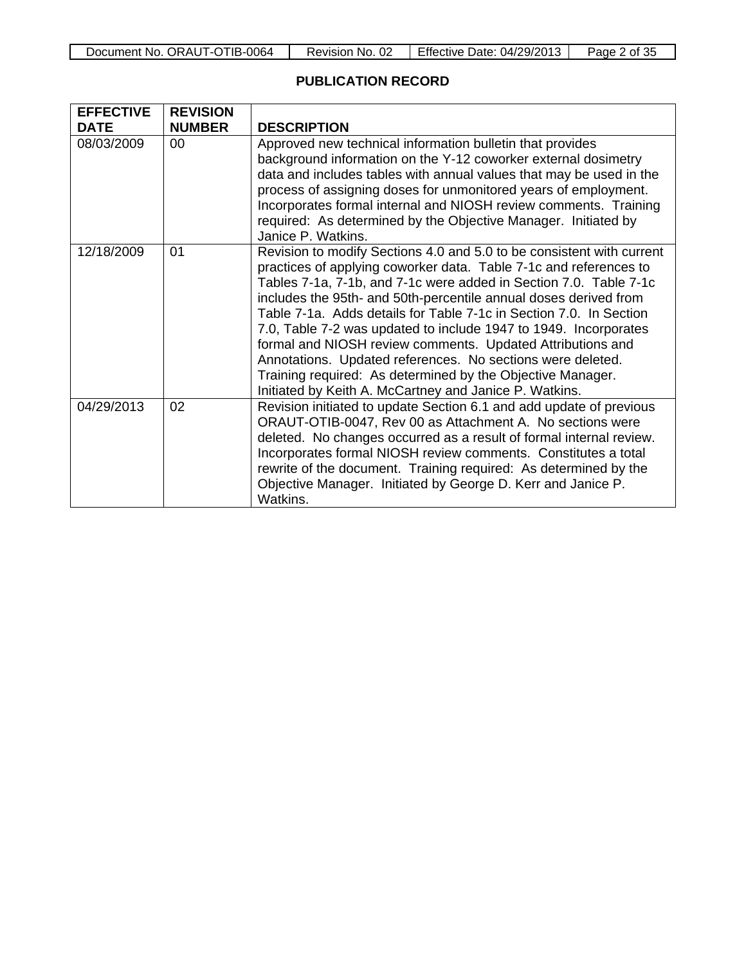| Document No. ORAUT-OTIB-0064 | Revision No. 02 | <b>Effective Date: 04/29/2013</b> | Page 2 of 35 |
|------------------------------|-----------------|-----------------------------------|--------------|
|------------------------------|-----------------|-----------------------------------|--------------|

# **PUBLICATION RECORD**

 $\mathbf{r}$ 

| <b>EFFECTIVE</b> | <b>REVISION</b> |                                                                                                                                                                                                                                                                                                                                                                                                                                                                                                                                                                                                                                                                                   |
|------------------|-----------------|-----------------------------------------------------------------------------------------------------------------------------------------------------------------------------------------------------------------------------------------------------------------------------------------------------------------------------------------------------------------------------------------------------------------------------------------------------------------------------------------------------------------------------------------------------------------------------------------------------------------------------------------------------------------------------------|
| <b>DATE</b>      | <b>NUMBER</b>   | <b>DESCRIPTION</b>                                                                                                                                                                                                                                                                                                                                                                                                                                                                                                                                                                                                                                                                |
| 08/03/2009       | 00 <sup>°</sup> | Approved new technical information bulletin that provides<br>background information on the Y-12 coworker external dosimetry<br>data and includes tables with annual values that may be used in the<br>process of assigning doses for unmonitored years of employment.<br>Incorporates formal internal and NIOSH review comments. Training<br>required: As determined by the Objective Manager. Initiated by<br>Janice P. Watkins.                                                                                                                                                                                                                                                 |
| 12/18/2009       | 01              | Revision to modify Sections 4.0 and 5.0 to be consistent with current<br>practices of applying coworker data. Table 7-1c and references to<br>Tables 7-1a, 7-1b, and 7-1c were added in Section 7.0. Table 7-1c<br>includes the 95th- and 50th-percentile annual doses derived from<br>Table 7-1a. Adds details for Table 7-1c in Section 7.0. In Section<br>7.0, Table 7-2 was updated to include 1947 to 1949. Incorporates<br>formal and NIOSH review comments. Updated Attributions and<br>Annotations. Updated references. No sections were deleted.<br>Training required: As determined by the Objective Manager.<br>Initiated by Keith A. McCartney and Janice P. Watkins. |
| 04/29/2013       | 02              | Revision initiated to update Section 6.1 and add update of previous<br>ORAUT-OTIB-0047, Rev 00 as Attachment A. No sections were<br>deleted. No changes occurred as a result of formal internal review.<br>Incorporates formal NIOSH review comments. Constitutes a total<br>rewrite of the document. Training required: As determined by the<br>Objective Manager. Initiated by George D. Kerr and Janice P.<br>Watkins.                                                                                                                                                                                                                                                         |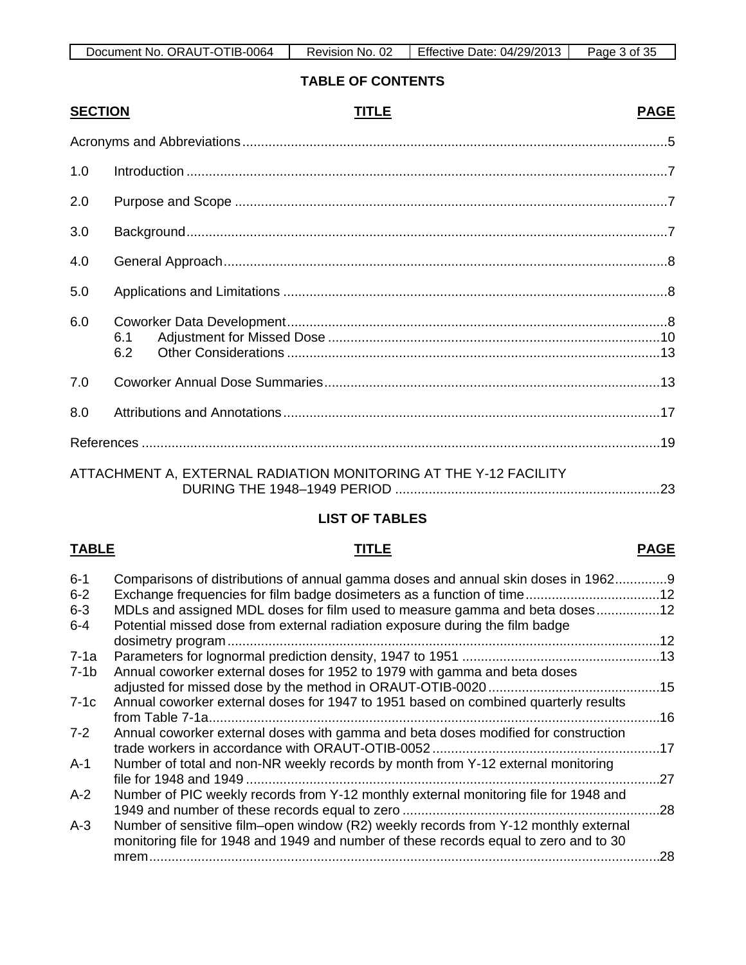| ORAUT-OTIB-0064<br>Document No. | 02<br>Revision No. | Effective Date: 04/29/2013 | of 35<br>Page |
|---------------------------------|--------------------|----------------------------|---------------|

# **TABLE OF CONTENTS**

| <b>SECTION</b> | <b>TITLE</b>                                                     | <b>PAGE</b> |
|----------------|------------------------------------------------------------------|-------------|
|                |                                                                  |             |
| 1.0            |                                                                  |             |
| 2.0            |                                                                  |             |
| 3.0            |                                                                  |             |
| 4.0            |                                                                  |             |
| 5.0            |                                                                  |             |
| 6.0            | 6.1<br>6.2                                                       |             |
| 7.0            |                                                                  |             |
| 8.0            |                                                                  |             |
|                |                                                                  |             |
|                | ATTACHMENT A, EXTERNAL RADIATION MONITORING AT THE Y-12 FACILITY |             |

| U INENTA. EATENNAE NADIATION MONTONING AT THE THZT AGIELT. |  |
|------------------------------------------------------------|--|
|                                                            |  |

# **LIST OF TABLES**

# **TABLE TITLE PAGE**

| $6 - 1$<br>$6 - 2$<br>$6 - 3$ | Comparisons of distributions of annual gamma doses and annual skin doses in 19629<br>Exchange frequencies for film badge dosimeters as a function of time12<br>MDLs and assigned MDL doses for film used to measure gamma and beta doses12 |     |
|-------------------------------|--------------------------------------------------------------------------------------------------------------------------------------------------------------------------------------------------------------------------------------------|-----|
| $6 - 4$                       | Potential missed dose from external radiation exposure during the film badge                                                                                                                                                               |     |
| 7-1a                          |                                                                                                                                                                                                                                            |     |
| $7-1b$                        | Annual coworker external doses for 1952 to 1979 with gamma and beta doses                                                                                                                                                                  |     |
|                               |                                                                                                                                                                                                                                            |     |
| $7-1c$                        | Annual coworker external doses for 1947 to 1951 based on combined quarterly results                                                                                                                                                        |     |
|                               |                                                                                                                                                                                                                                            | .16 |
| $7 - 2$                       | Annual coworker external doses with gamma and beta doses modified for construction                                                                                                                                                         |     |
|                               |                                                                                                                                                                                                                                            |     |
| A-1                           | Number of total and non-NR weekly records by month from Y-12 external monitoring                                                                                                                                                           |     |
|                               |                                                                                                                                                                                                                                            | .27 |
| $A-2$                         | Number of PIC weekly records from Y-12 monthly external monitoring file for 1948 and                                                                                                                                                       |     |
|                               |                                                                                                                                                                                                                                            | .28 |
| $A-3$                         | Number of sensitive film–open window (R2) weekly records from Y-12 monthly external                                                                                                                                                        |     |
|                               | monitoring file for 1948 and 1949 and number of these records equal to zero and to 30                                                                                                                                                      |     |
|                               | $m$ rem                                                                                                                                                                                                                                    | .28 |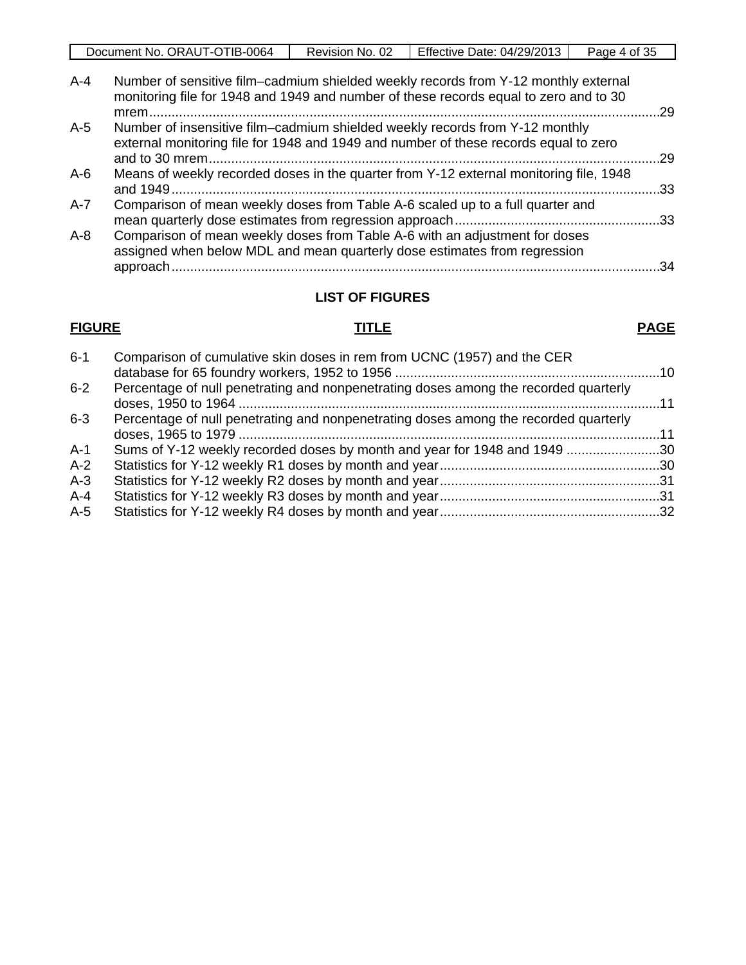| - 21<br>v.<br>ີ |                                     |                        |                                  |            |
|-----------------|-------------------------------------|------------------------|----------------------------------|------------|
|                 | TIB-0064<br>ORAUT-C<br>Document No. | -02<br>NO.<br>Revision | Effective<br>04/29/2013<br>Date: | Page<br>C. |

| $A-4$   | Number of sensitive film–cadmium shielded weekly records from Y-12 monthly external<br>monitoring file for 1948 and 1949 and number of these records equal to zero and to 30 | -29 |
|---------|------------------------------------------------------------------------------------------------------------------------------------------------------------------------------|-----|
| $A-5$   | Number of insensitive film–cadmium shielded weekly records from Y-12 monthly<br>external monitoring file for 1948 and 1949 and number of these records equal to zero         | .29 |
| $A-6$   | Means of weekly recorded doses in the quarter from Y-12 external monitoring file, 1948                                                                                       | -33 |
| $A-7$   | Comparison of mean weekly doses from Table A-6 scaled up to a full quarter and                                                                                               |     |
| $A - 8$ | Comparison of mean weekly doses from Table A-6 with an adjustment for doses<br>assigned when below MDL and mean quarterly dose estimates from regression                     | 34  |
|         |                                                                                                                                                                              |     |

# **LIST OF FIGURES**

#### **FIGURE TITLE PAGE**

| $6 - 1$ | Comparison of cumulative skin doses in rem from UCNC (1957) and the CER              |  |
|---------|--------------------------------------------------------------------------------------|--|
|         |                                                                                      |  |
| $6 - 2$ | Percentage of null penetrating and nonpenetrating doses among the recorded quarterly |  |
| $6 - 3$ | Percentage of null penetrating and nonpenetrating doses among the recorded quarterly |  |
|         |                                                                                      |  |
| $A-1$   | Sums of Y-12 weekly recorded doses by month and year for 1948 and 1949 30            |  |
| $A-2$   |                                                                                      |  |
| $A-3$   |                                                                                      |  |
| $A - 4$ |                                                                                      |  |
| $A-5$   |                                                                                      |  |
|         |                                                                                      |  |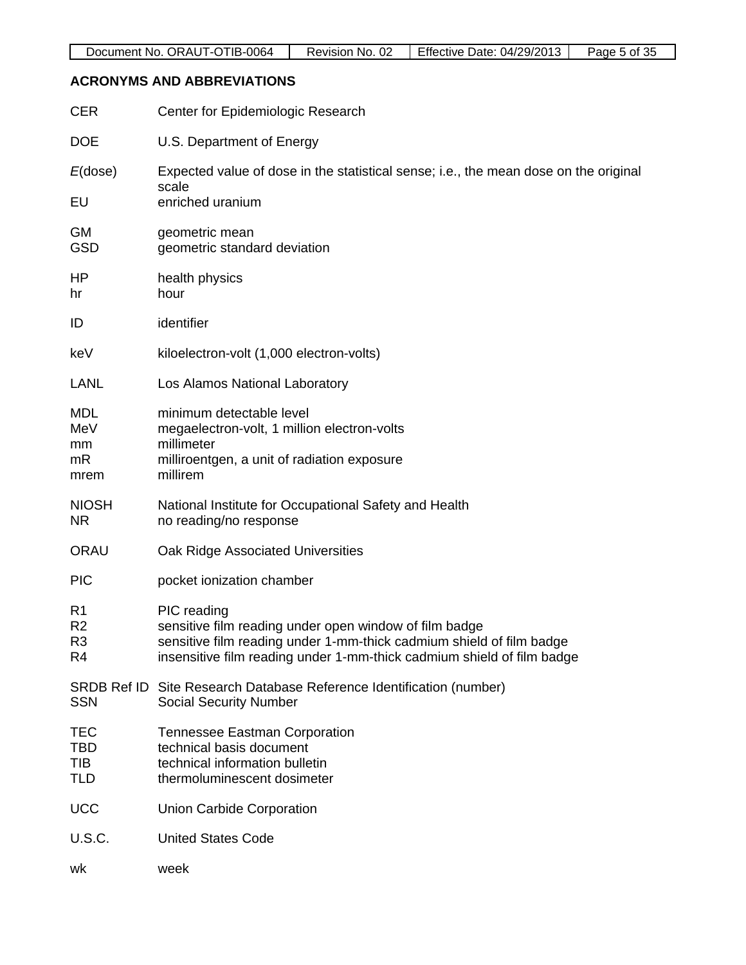# **ACRONYMS AND ABBREVIATIONS**

| <b>CER</b>                                               | Center for Epidemiologic Research                                                                                                                                                                                       |
|----------------------------------------------------------|-------------------------------------------------------------------------------------------------------------------------------------------------------------------------------------------------------------------------|
| <b>DOE</b>                                               | U.S. Department of Energy                                                                                                                                                                                               |
| $E$ (dose)                                               | Expected value of dose in the statistical sense; i.e., the mean dose on the original                                                                                                                                    |
| EU                                                       | scale<br>enriched uranium                                                                                                                                                                                               |
| <b>GM</b><br><b>GSD</b>                                  | geometric mean<br>geometric standard deviation                                                                                                                                                                          |
| HP<br>hr                                                 | health physics<br>hour                                                                                                                                                                                                  |
| ID                                                       | identifier                                                                                                                                                                                                              |
| keV                                                      | kiloelectron-volt (1,000 electron-volts)                                                                                                                                                                                |
| <b>LANL</b>                                              | Los Alamos National Laboratory                                                                                                                                                                                          |
| <b>MDL</b><br>MeV<br>mm<br>mR<br>mrem                    | minimum detectable level<br>megaelectron-volt, 1 million electron-volts<br>millimeter<br>milliroentgen, a unit of radiation exposure<br>millirem                                                                        |
| <b>NIOSH</b><br><b>NR</b>                                | National Institute for Occupational Safety and Health<br>no reading/no response                                                                                                                                         |
| <b>ORAU</b>                                              | Oak Ridge Associated Universities                                                                                                                                                                                       |
| <b>PIC</b>                                               | pocket ionization chamber                                                                                                                                                                                               |
| R <sub>1</sub><br>R <sub>2</sub><br>R <sub>3</sub><br>R4 | PIC reading<br>sensitive film reading under open window of film badge<br>sensitive film reading under 1-mm-thick cadmium shield of film badge<br>insensitive film reading under 1-mm-thick cadmium shield of film badge |
| <b>SRDB Ref ID</b><br><b>SSN</b>                         | Site Research Database Reference Identification (number)<br><b>Social Security Number</b>                                                                                                                               |
| TEC<br><b>TBD</b><br>TIB<br><b>TLD</b>                   | <b>Tennessee Eastman Corporation</b><br>technical basis document<br>technical information bulletin<br>thermoluminescent dosimeter                                                                                       |
| <b>UCC</b>                                               | <b>Union Carbide Corporation</b>                                                                                                                                                                                        |
| U.S.C.                                                   | <b>United States Code</b>                                                                                                                                                                                               |
| wk                                                       | week                                                                                                                                                                                                                    |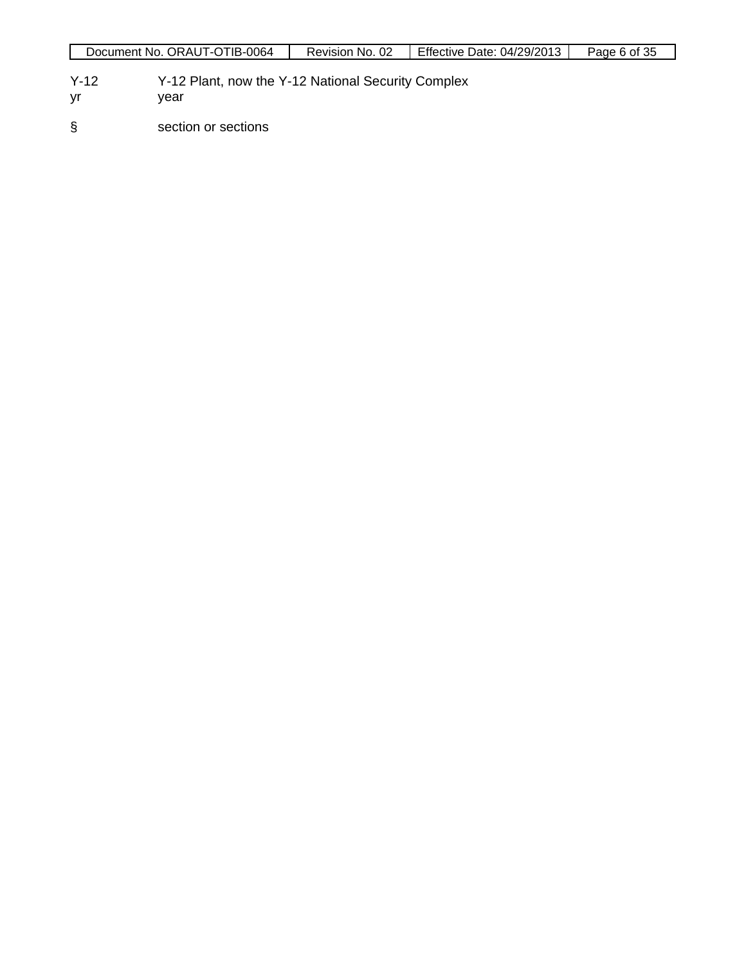- Y-12 Y-12 Plant, now the Y-12 National Security Complex<br>
yr year
- year
- § section or sections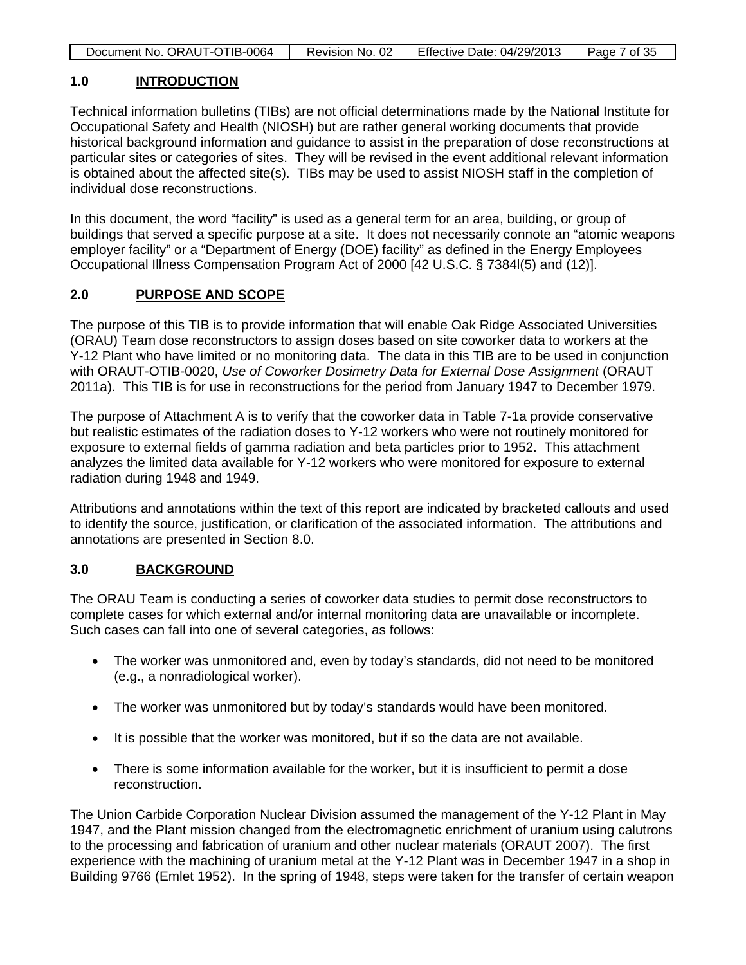|  | Document No. ORAUT-OTIB-0064 | Revision No. 02 | <b>Effective Date: 04/29/2013</b> | Page 7 of 35 |
|--|------------------------------|-----------------|-----------------------------------|--------------|
|--|------------------------------|-----------------|-----------------------------------|--------------|

### **1.0 INTRODUCTION**

Technical information bulletins (TIBs) are not official determinations made by the National Institute for Occupational Safety and Health (NIOSH) but are rather general working documents that provide historical background information and guidance to assist in the preparation of dose reconstructions at particular sites or categories of sites. They will be revised in the event additional relevant information is obtained about the affected site(s). TIBs may be used to assist NIOSH staff in the completion of individual dose reconstructions.

In this document, the word "facility" is used as a general term for an area, building, or group of buildings that served a specific purpose at a site. It does not necessarily connote an "atomic weapons employer facility" or a "Department of Energy (DOE) facility" as defined in the Energy Employees Occupational Illness Compensation Program Act of 2000 [42 U.S.C. § 7384l(5) and (12)].

# **2.0 PURPOSE AND SCOPE**

The purpose of this TIB is to provide information that will enable Oak Ridge Associated Universities (ORAU) Team dose reconstructors to assign doses based on site coworker data to workers at the Y-12 Plant who have limited or no monitoring data. The data in this TIB are to be used in conjunction with ORAUT-OTIB-0020, *Use of Coworker Dosimetry Data for External Dose Assignment* (ORAUT 2011a). This TIB is for use in reconstructions for the period from January 1947 to December 1979.

The purpose of Attachment A is to verify that the coworker data in Table 7-1a provide conservative but realistic estimates of the radiation doses to Y-12 workers who were not routinely monitored for exposure to external fields of gamma radiation and beta particles prior to 1952. This attachment analyzes the limited data available for Y-12 workers who were monitored for exposure to external radiation during 1948 and 1949.

Attributions and annotations within the text of this report are indicated by bracketed callouts and used to identify the source, justification, or clarification of the associated information. The attributions and annotations are presented in Section 8.0.

# **3.0 BACKGROUND**

The ORAU Team is conducting a series of coworker data studies to permit dose reconstructors to complete cases for which external and/or internal monitoring data are unavailable or incomplete. Such cases can fall into one of several categories, as follows:

- The worker was unmonitored and, even by today's standards, did not need to be monitored (e.g., a nonradiological worker).
- The worker was unmonitored but by today's standards would have been monitored.
- It is possible that the worker was monitored, but if so the data are not available.
- There is some information available for the worker, but it is insufficient to permit a dose reconstruction.

The Union Carbide Corporation Nuclear Division assumed the management of the Y-12 Plant in May 1947, and the Plant mission changed from the electromagnetic enrichment of uranium using calutrons to the processing and fabrication of uranium and other nuclear materials (ORAUT 2007). The first experience with the machining of uranium metal at the Y-12 Plant was in December 1947 in a shop in Building 9766 (Emlet 1952). In the spring of 1948, steps were taken for the transfer of certain weapon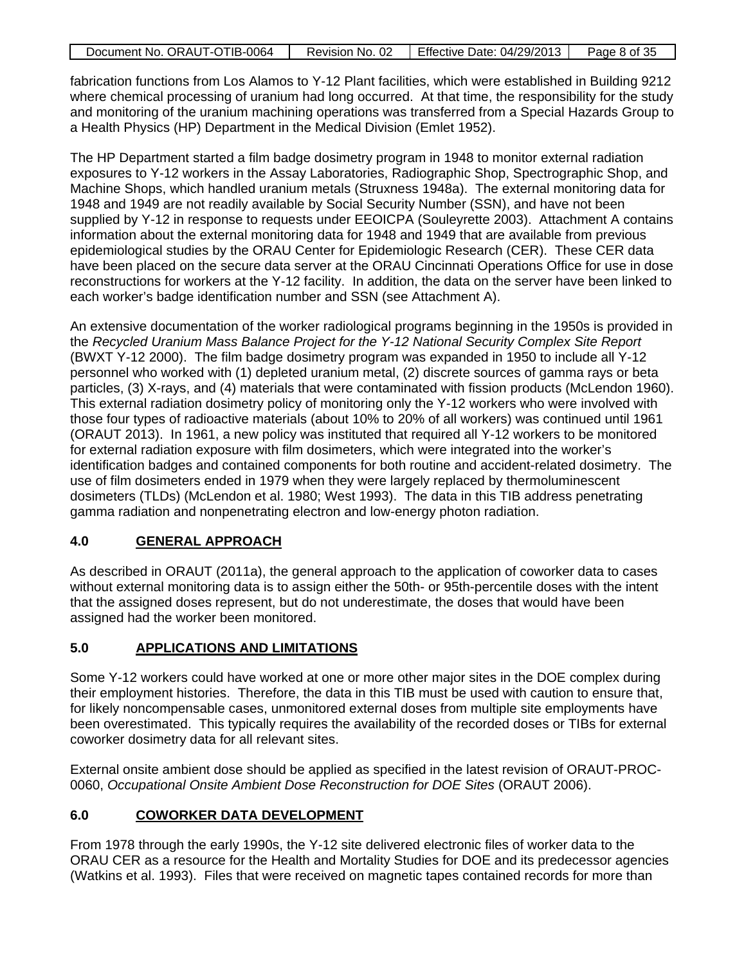| Document No. ORAUT-OTIB-0064 | Revision No. 02 | Effective Date: 04/29/2013 | Page 8 of 35 |
|------------------------------|-----------------|----------------------------|--------------|

fabrication functions from Los Alamos to Y-12 Plant facilities, which were established in Building 9212 where chemical processing of uranium had long occurred. At that time, the responsibility for the study and monitoring of the uranium machining operations was transferred from a Special Hazards Group to a Health Physics (HP) Department in the Medical Division (Emlet 1952).

The HP Department started a film badge dosimetry program in 1948 to monitor external radiation exposures to Y-12 workers in the Assay Laboratories, Radiographic Shop, Spectrographic Shop, and Machine Shops, which handled uranium metals (Struxness 1948a). The external monitoring data for 1948 and 1949 are not readily available by Social Security Number (SSN), and have not been supplied by Y-12 in response to requests under EEOICPA (Souleyrette 2003). Attachment A contains information about the external monitoring data for 1948 and 1949 that are available from previous epidemiological studies by the ORAU Center for Epidemiologic Research (CER). These CER data have been placed on the secure data server at the ORAU Cincinnati Operations Office for use in dose reconstructions for workers at the Y-12 facility. In addition, the data on the server have been linked to each worker's badge identification number and SSN (see Attachment A).

An extensive documentation of the worker radiological programs beginning in the 1950s is provided in the *Recycled Uranium Mass Balance Project for the Y-12 National Security Complex Site Report* (BWXT Y-12 2000). The film badge dosimetry program was expanded in 1950 to include all Y-12 personnel who worked with (1) depleted uranium metal, (2) discrete sources of gamma rays or beta particles, (3) X-rays, and (4) materials that were contaminated with fission products (McLendon 1960). This external radiation dosimetry policy of monitoring only the Y-12 workers who were involved with those four types of radioactive materials (about 10% to 20% of all workers) was continued until 1961 (ORAUT 2013). In 1961, a new policy was instituted that required all Y-12 workers to be monitored for external radiation exposure with film dosimeters, which were integrated into the worker's identification badges and contained components for both routine and accident-related dosimetry. The use of film dosimeters ended in 1979 when they were largely replaced by thermoluminescent dosimeters (TLDs) (McLendon et al. 1980; West 1993). The data in this TIB address penetrating gamma radiation and nonpenetrating electron and low-energy photon radiation.

# **4.0 GENERAL APPROACH**

As described in ORAUT (2011a), the general approach to the application of coworker data to cases without external monitoring data is to assign either the 50th- or 95th-percentile doses with the intent that the assigned doses represent, but do not underestimate, the doses that would have been assigned had the worker been monitored.

# **5.0 APPLICATIONS AND LIMITATIONS**

Some Y-12 workers could have worked at one or more other major sites in the DOE complex during their employment histories. Therefore, the data in this TIB must be used with caution to ensure that, for likely noncompensable cases, unmonitored external doses from multiple site employments have been overestimated. This typically requires the availability of the recorded doses or TIBs for external coworker dosimetry data for all relevant sites.

External onsite ambient dose should be applied as specified in the latest revision of ORAUT-PROC-0060, *Occupational Onsite Ambient Dose Reconstruction for DOE Sites* (ORAUT 2006).

# **6.0 COWORKER DATA DEVELOPMENT**

From 1978 through the early 1990s, the Y-12 site delivered electronic files of worker data to the ORAU CER as a resource for the Health and Mortality Studies for DOE and its predecessor agencies (Watkins et al. 1993). Files that were received on magnetic tapes contained records for more than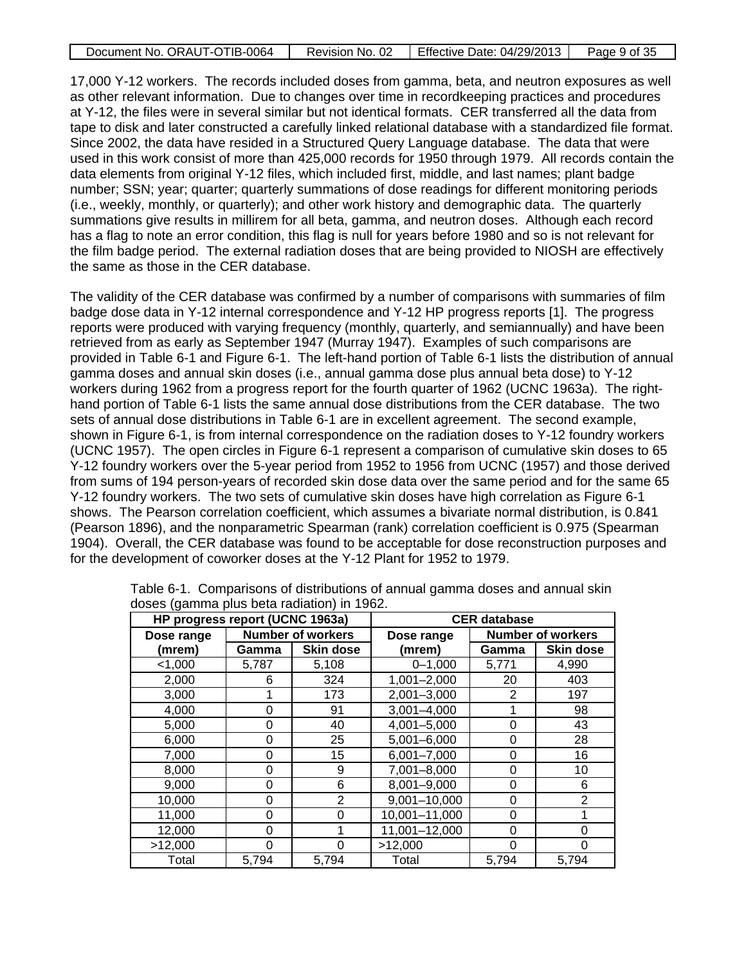| Document No. ORAUT-OTIB-0064 | Revision No. 02 | <b>Effective Date: 04/29/2013</b> | Page 9 of 35 |
|------------------------------|-----------------|-----------------------------------|--------------|
|                              |                 |                                   |              |

17,000 Y-12 workers. The records included doses from gamma, beta, and neutron exposures as well as other relevant information. Due to changes over time in recordkeeping practices and procedures at Y-12, the files were in several similar but not identical formats. CER transferred all the data from tape to disk and later constructed a carefully linked relational database with a standardized file format. Since 2002, the data have resided in a Structured Query Language database. The data that were used in this work consist of more than 425,000 records for 1950 through 1979. All records contain the data elements from original Y-12 files, which included first, middle, and last names; plant badge number; SSN; year; quarter; quarterly summations of dose readings for different monitoring periods (i.e., weekly, monthly, or quarterly); and other work history and demographic data. The quarterly summations give results in millirem for all beta, gamma, and neutron doses. Although each record has a flag to note an error condition, this flag is null for years before 1980 and so is not relevant for the film badge period. The external radiation doses that are being provided to NIOSH are effectively the same as those in the CER database.

The validity of the CER database was confirmed by a number of comparisons with summaries of film badge dose data in Y-12 internal correspondence and Y-12 HP progress reports [1]. The progress reports were produced with varying frequency (monthly, quarterly, and semiannually) and have been retrieved from as early as September 1947 (Murray 1947). Examples of such comparisons are provided in Table 6-1 and Figure 6-1. The left-hand portion of Table 6-1 lists the distribution of annual gamma doses and annual skin doses (i.e., annual gamma dose plus annual beta dose) to Y-12 workers during 1962 from a progress report for the fourth quarter of 1962 (UCNC 1963a). The righthand portion of Table 6-1 lists the same annual dose distributions from the CER database. The two sets of annual dose distributions in Table 6-1 are in excellent agreement. The second example, shown in Figure 6-1, is from internal correspondence on the radiation doses to Y-12 foundry workers (UCNC 1957). The open circles in Figure 6-1 represent a comparison of cumulative skin doses to 65 Y-12 foundry workers over the 5-year period from 1952 to 1956 from UCNC (1957) and those derived from sums of 194 person-years of recorded skin dose data over the same period and for the same 65 Y-12 foundry workers. The two sets of cumulative skin doses have high correlation as Figure 6-1 shows. The Pearson correlation coefficient, which assumes a bivariate normal distribution, is 0.841 (Pearson 1896), and the nonparametric Spearman (rank) correlation coefficient is 0.975 (Spearman 1904). Overall, the CER database was found to be acceptable for dose reconstruction purposes and for the development of coworker doses at the Y-12 Plant for 1952 to 1979.

| HP progress report (UCNC 1963a) |                          |                  | <b>CER</b> database |                          |                  |  |
|---------------------------------|--------------------------|------------------|---------------------|--------------------------|------------------|--|
| Dose range                      | <b>Number of workers</b> |                  | Dose range          | <b>Number of workers</b> |                  |  |
| (mrem)                          | Gamma                    | <b>Skin dose</b> | (mrem)              | Gamma                    | <b>Skin dose</b> |  |
| < 1,000                         | 5,787                    | 5,108            | $0 - 1,000$         | 5,771                    | 4,990            |  |
| 2,000                           | 6                        | 324              | $1,001 - 2,000$     | 20                       | 403              |  |
| 3,000                           |                          | 173              | 2,001-3,000         | $\overline{2}$           | 197              |  |
| 4,000                           | 0                        | 91               | $3,001 - 4,000$     |                          | 98               |  |
| 5,000                           | 0                        | 40               | 4,001-5,000         | 0                        | 43               |  |
| 6,000                           | 0                        | 25               | 5,001-6,000         | 0                        | 28               |  |
| 7,000                           | 0                        | 15               | $6,001 - 7,000$     | $\Omega$                 | 16               |  |
| 8,000                           | 0                        | 9                | 7,001-8,000         | 0                        | 10               |  |
| 9,000                           | 0                        | 6                | 8,001-9,000         | 0                        | 6                |  |
| 10,000                          | 0                        | 2                | $9,001 - 10,000$    | 0                        | $\overline{2}$   |  |
| 11,000                          | 0                        | 0                | 10,001-11,000       | 0                        |                  |  |
| 12,000                          | 0                        |                  | 11,001-12,000       | 0                        | 0                |  |
| >12,000                         | 0                        | 0                | >12,000             | 0                        | $\Omega$         |  |
| Total                           | 5,794                    | 5,794            | Total               | 5,794                    | 5,794            |  |

Table 6-1. Comparisons of distributions of annual gamma doses and annual skin doses (gamma plus beta radiation) in 1962.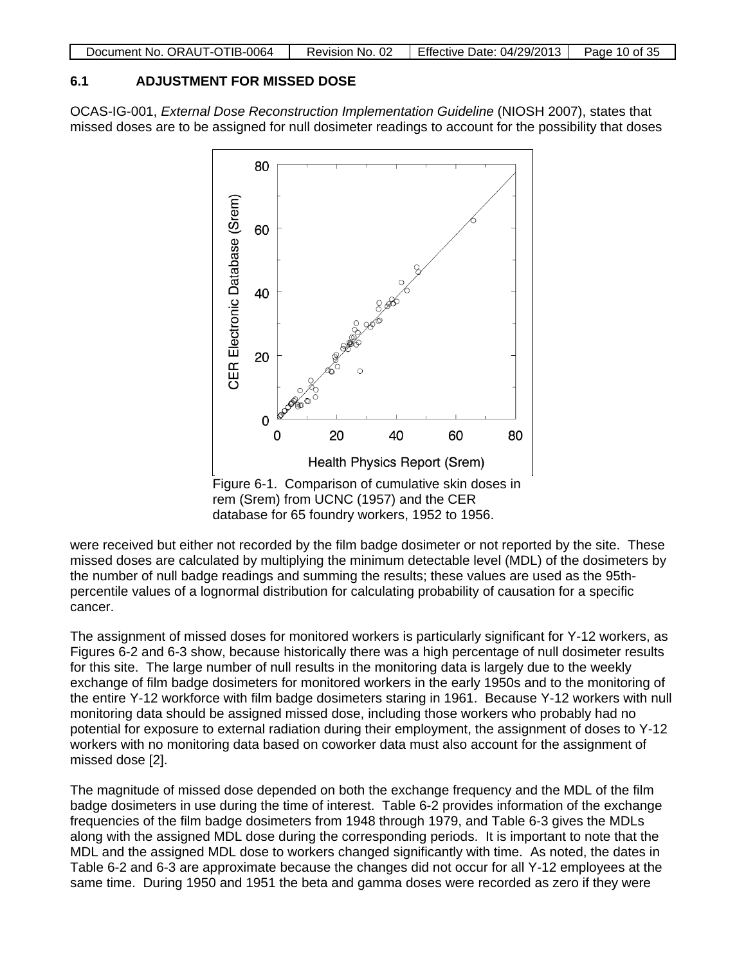|  | Document No. ORAUT-OTIB-0064 | Revision No. 02 | Effective Date: 04/29/2013 | Page 10 of 35 |
|--|------------------------------|-----------------|----------------------------|---------------|
|--|------------------------------|-----------------|----------------------------|---------------|

# **6.1 ADJUSTMENT FOR MISSED DOSE**

OCAS-IG-001, *External Dose Reconstruction Implementation Guideline* (NIOSH 2007), states that missed doses are to be assigned for null dosimeter readings to account for the possibility that doses



database for 65 foundry workers, 1952 to 1956.

were received but either not recorded by the film badge dosimeter or not reported by the site. These missed doses are calculated by multiplying the minimum detectable level (MDL) of the dosimeters by the number of null badge readings and summing the results; these values are used as the 95thpercentile values of a lognormal distribution for calculating probability of causation for a specific cancer.

The assignment of missed doses for monitored workers is particularly significant for Y-12 workers, as Figures 6-2 and 6-3 show, because historically there was a high percentage of null dosimeter results for this site. The large number of null results in the monitoring data is largely due to the weekly exchange of film badge dosimeters for monitored workers in the early 1950s and to the monitoring of the entire Y-12 workforce with film badge dosimeters staring in 1961. Because Y-12 workers with null monitoring data should be assigned missed dose, including those workers who probably had no potential for exposure to external radiation during their employment, the assignment of doses to Y-12 workers with no monitoring data based on coworker data must also account for the assignment of missed dose [2].

The magnitude of missed dose depended on both the exchange frequency and the MDL of the film badge dosimeters in use during the time of interest. Table 6-2 provides information of the exchange frequencies of the film badge dosimeters from 1948 through 1979, and Table 6-3 gives the MDLs along with the assigned MDL dose during the corresponding periods. It is important to note that the MDL and the assigned MDL dose to workers changed significantly with time. As noted, the dates in Table 6-2 and 6-3 are approximate because the changes did not occur for all Y-12 employees at the same time. During 1950 and 1951 the beta and gamma doses were recorded as zero if they were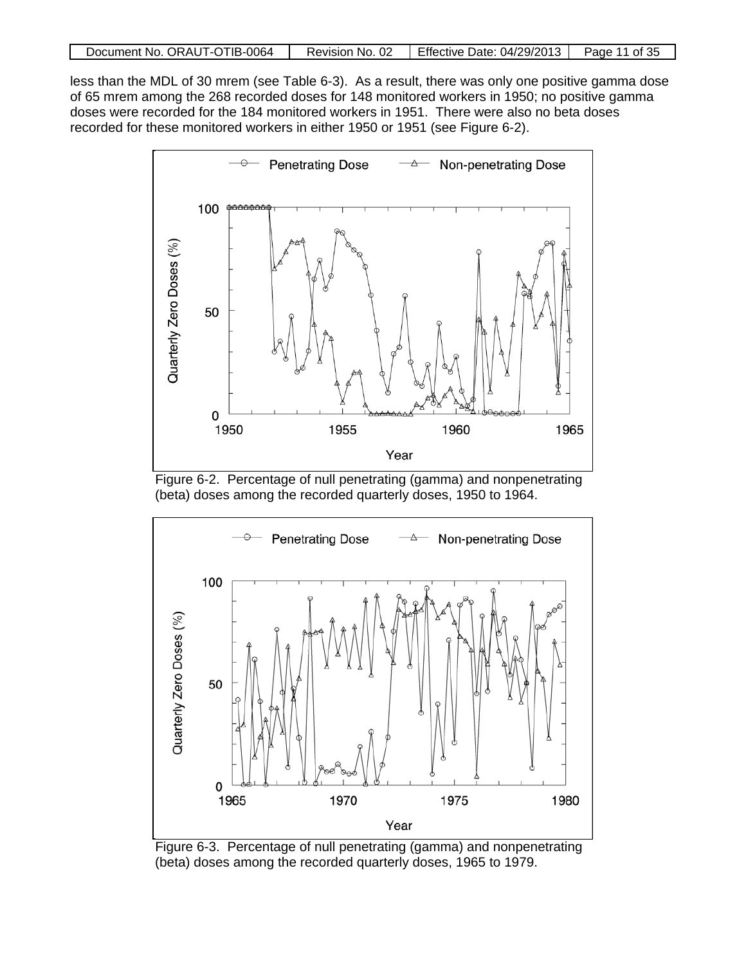| Document No. ORAUT-OTIB-0064 |  | Revision No. 02   Effective Date: $04/29/2013$   Page 11 of 35 |  |
|------------------------------|--|----------------------------------------------------------------|--|
|------------------------------|--|----------------------------------------------------------------|--|

less than the MDL of 30 mrem (see Table 6-3). As a result, there was only one positive gamma dose of 65 mrem among the 268 recorded doses for 148 monitored workers in 1950; no positive gamma doses were recorded for the 184 monitored workers in 1951. There were also no beta doses recorded for these monitored workers in either 1950 or 1951 (see Figure 6-2).



Figure 6-2. Percentage of null penetrating (gamma) and nonpenetrating (beta) doses among the recorded quarterly doses, 1950 to 1964.



Figure 6-3. Percentage of null penetrating (gamma) and nonpenetrating (beta) doses among the recorded quarterly doses, 1965 to 1979.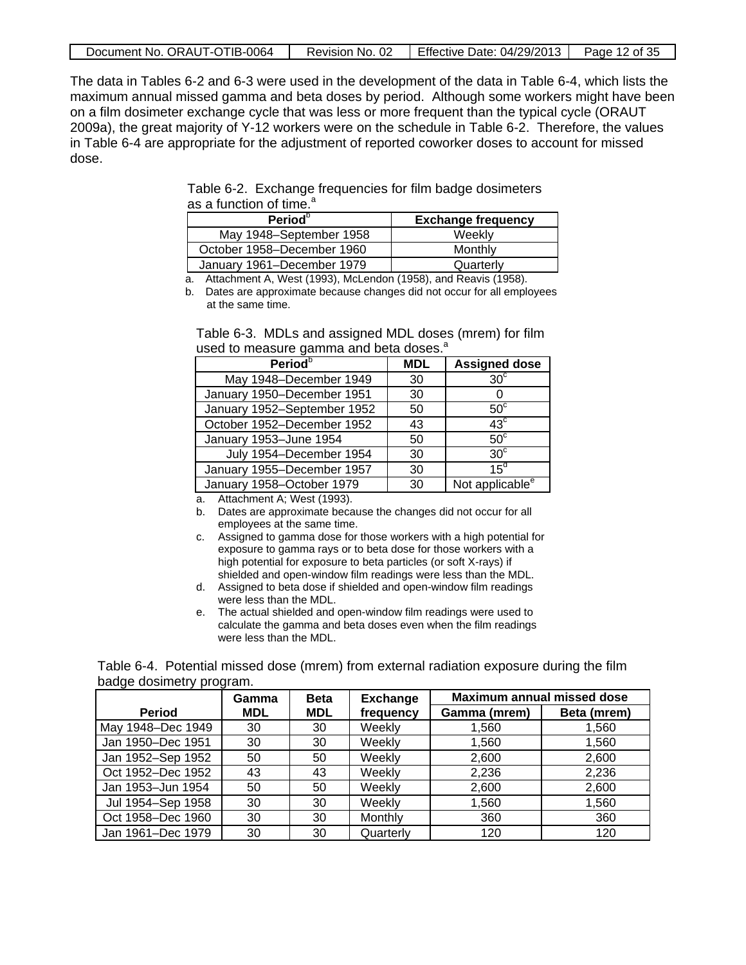| Document No. ORAUT-OTIB-0064 |  | Revision No. 02 Fffective Date: $04/29/2013$ Page 12 of 35 |  |
|------------------------------|--|------------------------------------------------------------|--|
|------------------------------|--|------------------------------------------------------------|--|

The data in Tables 6-2 and 6-3 were used in the development of the data in Table 6-4, which lists the maximum annual missed gamma and beta doses by period. Although some workers might have been on a film dosimeter exchange cycle that was less or more frequent than the typical cycle (ORAUT 2009a), the great majority of Y-12 workers were on the schedule in Table 6-2. Therefore, the values in Table 6-4 are appropriate for the adjustment of reported coworker doses to account for missed dose.

Table 6-2. Exchange frequencies for film badge dosimeters as a function of time.<sup>a</sup>

| Period <sup>o</sup>        | <b>Exchange frequency</b> |  |  |
|----------------------------|---------------------------|--|--|
| May 1948-September 1958    | Weekly                    |  |  |
| October 1958–December 1960 | Monthly                   |  |  |
| January 1961-December 1979 | Quarterly                 |  |  |

a. Attachment A, West (1993), McLendon (1958), and Reavis (1958).

b. Dates are approximate because changes did not occur for all employees at the same time.

| Table 6-3. MDLs and assigned MDL doses (mrem) for film |  |  |
|--------------------------------------------------------|--|--|
| used to measure gamma and beta doses. <sup>a</sup>     |  |  |

| Period <sup>b</sup>         | <b>MDL</b> | <b>Assigned dose</b>        |
|-----------------------------|------------|-----------------------------|
| May 1948-December 1949      | 30         | $30^\circ$                  |
| January 1950-December 1951  | 30         |                             |
| January 1952-September 1952 | 50         | $50^{\circ}$                |
| October 1952-December 1952  | 43         | $43^{\circ}$                |
| January 1953-June 1954      | 50         | $50^{\circ}$                |
| July 1954-December 1954     | 30         | $30^{\circ}$                |
| January 1955-December 1957  | 30         | $15^d$                      |
| January 1958-October 1979   | 30         | Not applicable <sup>e</sup> |

a. Attachment A; West (1993).

- b. Dates are approximate because the changes did not occur for all employees at the same time.
- c. Assigned to gamma dose for those workers with a high potential for exposure to gamma rays or to beta dose for those workers with a high potential for exposure to beta particles (or soft X-rays) if shielded and open-window film readings were less than the MDL.
- d. Assigned to beta dose if shielded and open-window film readings were less than the MDL.
- e. The actual shielded and open-window film readings were used to calculate the gamma and beta doses even when the film readings were less than the MDL.

Table 6-4. Potential missed dose (mrem) from external radiation exposure during the film badge dosimetry program.

|                   | Gamma      | <b>Beta</b> | <b>Exchange</b> | <b>Maximum annual missed dose</b> |             |
|-------------------|------------|-------------|-----------------|-----------------------------------|-------------|
| Period            | <b>MDL</b> | <b>MDL</b>  | frequency       | Gamma (mrem)                      | Beta (mrem) |
| May 1948-Dec 1949 | 30         | 30          | Weekly          | 1,560                             | 1,560       |
| Jan 1950-Dec 1951 | 30         | 30          | Weekly          | 1,560                             | 1.560       |
| Jan 1952-Sep 1952 | 50         | 50          | Weekly          | 2,600                             | 2,600       |
| Oct 1952-Dec 1952 | 43         | 43          | Weekly          | 2,236                             | 2,236       |
| Jan 1953-Jun 1954 | 50         | 50          | Weekly          | 2,600                             | 2,600       |
| Jul 1954-Sep 1958 | 30         | 30          | Weekly          | 1,560                             | 1.560       |
| Oct 1958-Dec 1960 | 30         | 30          | Monthly         | 360                               | 360         |
| Jan 1961-Dec 1979 | 30         | 30          | Quarterly       | 120                               | 120         |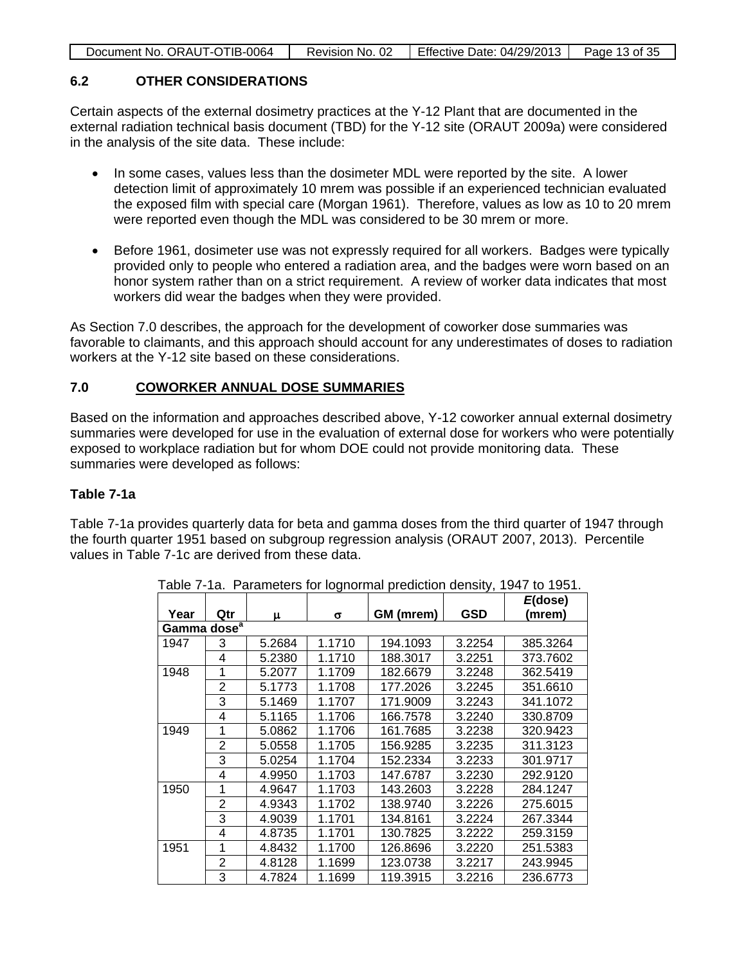| Document No. ORAUT-OTIB-0064 | Revision No. 02 | Effective Date: $04/29/2013$ Page 13 of 35 |  |
|------------------------------|-----------------|--------------------------------------------|--|

# **6.2 OTHER CONSIDERATIONS**

Certain aspects of the external dosimetry practices at the Y-12 Plant that are documented in the external radiation technical basis document (TBD) for the Y-12 site (ORAUT 2009a) were considered in the analysis of the site data. These include:

- In some cases, values less than the dosimeter MDL were reported by the site. A lower detection limit of approximately 10 mrem was possible if an experienced technician evaluated the exposed film with special care (Morgan 1961). Therefore, values as low as 10 to 20 mrem were reported even though the MDL was considered to be 30 mrem or more.
- Before 1961, dosimeter use was not expressly required for all workers. Badges were typically provided only to people who entered a radiation area, and the badges were worn based on an honor system rather than on a strict requirement. A review of worker data indicates that most workers did wear the badges when they were provided.

As Section 7.0 describes, the approach for the development of coworker dose summaries was favorable to claimants, and this approach should account for any underestimates of doses to radiation workers at the Y-12 site based on these considerations.

#### **7.0 COWORKER ANNUAL DOSE SUMMARIES**

Based on the information and approaches described above, Y-12 coworker annual external dosimetry summaries were developed for use in the evaluation of external dose for workers who were potentially exposed to workplace radiation but for whom DOE could not provide monitoring data. These summaries were developed as follows:

#### **Table 7-1a**

Table 7-1a provides quarterly data for beta and gamma doses from the third quarter of 1947 through the fourth quarter 1951 based on subgroup regression analysis (ORAUT 2007, 2013). Percentile values in Table 7-1c are derived from these data.

| Year                    | Qtr            |        | σ      | GM (mrem) | <b>GSD</b> | $E$ (dose)<br>(mrem) |
|-------------------------|----------------|--------|--------|-----------|------------|----------------------|
| Gamma dose <sup>a</sup> |                | μ      |        |           |            |                      |
| 1947                    | 3              | 5.2684 | 1.1710 | 194.1093  | 3.2254     | 385.3264             |
|                         | 4              | 5.2380 | 1.1710 | 188.3017  | 3.2251     | 373.7602             |
| 1948                    | 1              | 5.2077 | 1.1709 | 182.6679  | 3.2248     | 362.5419             |
|                         | 2              | 5.1773 | 1.1708 | 177.2026  | 3.2245     | 351.6610             |
|                         | 3              | 5.1469 | 1.1707 | 171.9009  | 3.2243     | 341.1072             |
|                         | 4              | 5.1165 | 1.1706 | 166.7578  | 3.2240     | 330.8709             |
| 1949                    | 1              | 5.0862 | 1.1706 | 161.7685  | 3.2238     | 320.9423             |
|                         | 2              | 5.0558 | 1.1705 | 156.9285  | 3.2235     | 311.3123             |
|                         | 3              | 5.0254 | 1.1704 | 152.2334  | 3.2233     | 301.9717             |
|                         | 4              | 4.9950 | 1.1703 | 147.6787  | 3.2230     | 292.9120             |
| 1950                    | 1              | 4.9647 | 1.1703 | 143.2603  | 3.2228     | 284.1247             |
|                         | $\overline{2}$ | 4.9343 | 1.1702 | 138.9740  | 3.2226     | 275.6015             |
|                         | 3              | 4.9039 | 1.1701 | 134.8161  | 3.2224     | 267.3344             |
|                         | 4              | 4.8735 | 1.1701 | 130.7825  | 3.2222     | 259.3159             |
| 1951                    | 1              | 4.8432 | 1.1700 | 126.8696  | 3.2220     | 251.5383             |
|                         | 2              | 4.8128 | 1.1699 | 123.0738  | 3.2217     | 243.9945             |
|                         | 3              | 4.7824 | 1.1699 | 119.3915  | 3.2216     | 236.6773             |

Table 7-1a. Parameters for lognormal prediction density, 1947 to 1951.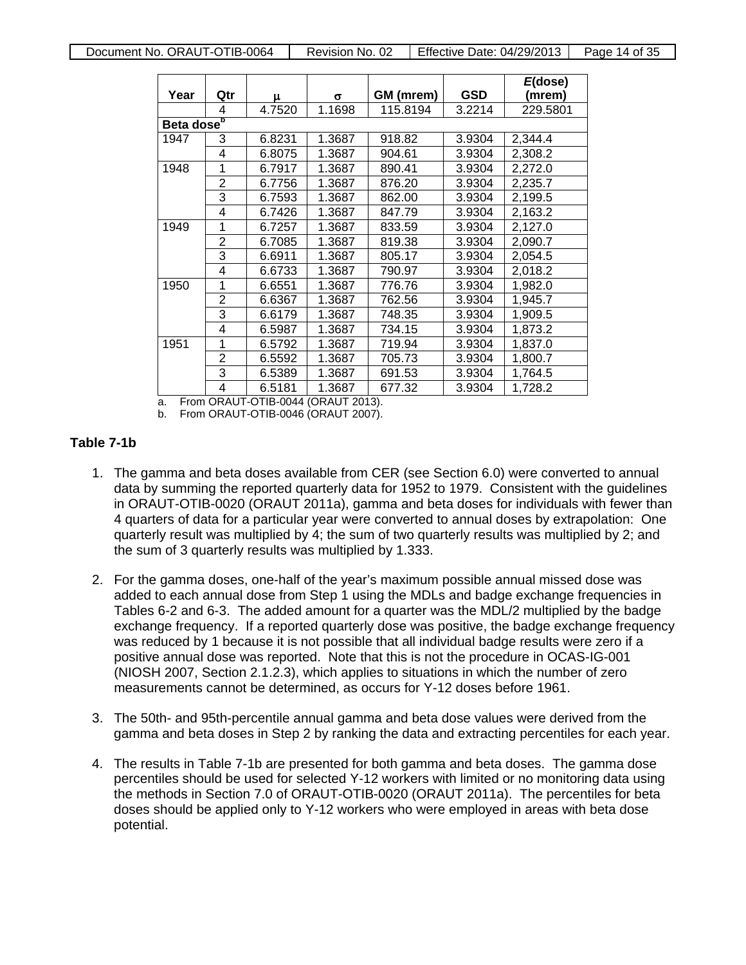| Year                   | Qtr            | μ      | σ      | GM (mrem) | <b>GSD</b> | $E$ (dose)<br>(mrem) |
|------------------------|----------------|--------|--------|-----------|------------|----------------------|
|                        | 4              | 4.7520 | 1.1698 | 115.8194  | 3.2214     | 229.5801             |
| Beta dose <sup>b</sup> |                |        |        |           |            |                      |
| 1947                   | 3              | 6.8231 | 1.3687 | 918.82    | 3.9304     | 2,344.4              |
|                        | 4              | 6.8075 | 1.3687 | 904.61    | 3.9304     | 2,308.2              |
| 1948                   | 1              | 6.7917 | 1.3687 | 890.41    | 3.9304     | 2,272.0              |
|                        | 2              | 6.7756 | 1.3687 | 876.20    | 3.9304     | 2,235.7              |
|                        | 3              | 6.7593 | 1.3687 | 862.00    | 3.9304     | 2,199.5              |
|                        | 4              | 6.7426 | 1.3687 | 847.79    | 3.9304     | 2,163.2              |
| 1949                   | 1              | 6.7257 | 1.3687 | 833.59    | 3.9304     | 2,127.0              |
|                        | 2              | 6.7085 | 1.3687 | 819.38    | 3.9304     | 2,090.7              |
|                        | 3              | 6.6911 | 1.3687 | 805.17    | 3.9304     | 2,054.5              |
|                        | 4              | 6.6733 | 1.3687 | 790.97    | 3.9304     | 2,018.2              |
| 1950                   | 1              | 6.6551 | 1.3687 | 776.76    | 3.9304     | 1,982.0              |
|                        | 2              | 6.6367 | 1.3687 | 762.56    | 3.9304     | 1,945.7              |
|                        | 3              | 6.6179 | 1.3687 | 748.35    | 3.9304     | 1,909.5              |
|                        | 4              | 6.5987 | 1.3687 | 734.15    | 3.9304     | 1,873.2              |
| 1951                   | 1              | 6.5792 | 1.3687 | 719.94    | 3.9304     | 1,837.0              |
|                        | $\overline{2}$ | 6.5592 | 1.3687 | 705.73    | 3.9304     | 1,800.7              |
|                        | 3              | 6.5389 | 1.3687 | 691.53    | 3.9304     | 1,764.5              |
|                        | 4              | 6.5181 | 1.3687 | 677.32    | 3.9304     | 1,728.2              |

a. From ORAUT-OTIB-0044 (ORAUT 2013).

b. From ORAUT-OTIB-0046 (ORAUT 2007).

### **Table 7-1b**

- 1. The gamma and beta doses available from CER (see Section 6.0) were converted to annual data by summing the reported quarterly data for 1952 to 1979. Consistent with the guidelines in ORAUT-OTIB-0020 (ORAUT 2011a), gamma and beta doses for individuals with fewer than 4 quarters of data for a particular year were converted to annual doses by extrapolation: One quarterly result was multiplied by 4; the sum of two quarterly results was multiplied by 2; and the sum of 3 quarterly results was multiplied by 1.333.
- 2. For the gamma doses, one-half of the year's maximum possible annual missed dose was added to each annual dose from Step 1 using the MDLs and badge exchange frequencies in Tables 6-2 and 6-3. The added amount for a quarter was the MDL/2 multiplied by the badge exchange frequency. If a reported quarterly dose was positive, the badge exchange frequency was reduced by 1 because it is not possible that all individual badge results were zero if a positive annual dose was reported. Note that this is not the procedure in OCAS-IG-001 (NIOSH 2007, Section 2.1.2.3), which applies to situations in which the number of zero measurements cannot be determined, as occurs for Y-12 doses before 1961.
- 3. The 50th- and 95th-percentile annual gamma and beta dose values were derived from the gamma and beta doses in Step 2 by ranking the data and extracting percentiles for each year.
- 4. The results in Table 7-1b are presented for both gamma and beta doses. The gamma dose percentiles should be used for selected Y-12 workers with limited or no monitoring data using the methods in Section 7.0 of ORAUT-OTIB-0020 (ORAUT 2011a). The percentiles for beta doses should be applied only to Y-12 workers who were employed in areas with beta dose potential.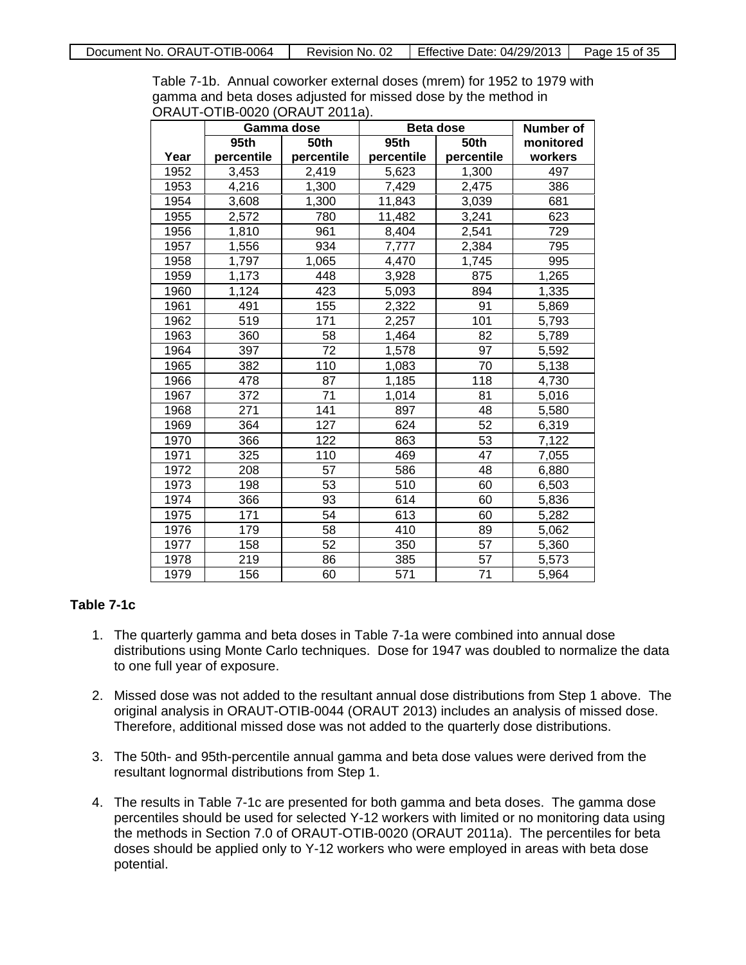Table 7-1b. Annual coworker external doses (mrem) for 1952 to 1979 with gamma and beta doses adjusted for missed dose by the method in ORAUT-OTIB-0020 (ORAUT 2011a).

|      |            | Gamma dose | <b>Beta dose</b> |            | <b>Number of</b> |
|------|------------|------------|------------------|------------|------------------|
|      | 95th       | 50th       | 95th             | 50th       | monitored        |
| Year | percentile | percentile | percentile       | percentile | workers          |
| 1952 | 3,453      | 2,419      | 5,623            | 1,300      | 497              |
| 1953 | 4,216      | 1,300      | 7,429            | 2,475      | 386              |
| 1954 | 3,608      | 1,300      | 11,843           | 3,039      | 681              |
| 1955 | 2,572      | 780        | 11,482           | 3,241      | 623              |
| 1956 | 1,810      | 961        | 8,404            | 2,541      | 729              |
| 1957 | 1,556      | 934        | 7,777            | 2,384      | 795              |
| 1958 | 1,797      | 1,065      | 4,470            | 1,745      | 995              |
| 1959 | 1,173      | 448        | 3,928            | 875        | 1,265            |
| 1960 | 1,124      | 423        | 5,093            | 894        | 1,335            |
| 1961 | 491        | 155        | 2,322            | 91         | 5,869            |
| 1962 | 519        | 171        | 2,257            | 101        | 5,793            |
| 1963 | 360        | 58         | 1,464            | 82         | 5,789            |
| 1964 | 397        | 72         | 1,578            | 97         | 5,592            |
| 1965 | 382        | 110        | 1,083            | 70         | 5,138            |
| 1966 | 478        | 87         | 1,185            | 118        | 4,730            |
| 1967 | 372        | 71         | 1,014            | 81         | 5,016            |
| 1968 | 271        | 141        | 897              | 48         | 5,580            |
| 1969 | 364        | 127        | 624              | 52         | 6,319            |
| 1970 | 366        | 122        | 863              | 53         | 7,122            |
| 1971 | 325        | 110        | 469              | 47         | 7,055            |
| 1972 | 208        | 57         | 586              | 48         | 6,880            |
| 1973 | 198        | 53         | 510              | 60         | 6,503            |
| 1974 | 366        | 93         | 614              | 60         | 5,836            |
| 1975 | 171        | 54         | 613              | 60         | 5,282            |
| 1976 | 179        | 58         | 410              | 89         | 5,062            |
| 1977 | 158        | 52         | 350              | 57         | 5,360            |
| 1978 | 219        | 86         | 385              | 57         | 5,573            |
| 1979 | 156        | 60         | 571              | 71         | 5,964            |

#### **Table 7-1c**

- 1. The quarterly gamma and beta doses in Table 7-1a were combined into annual dose distributions using Monte Carlo techniques. Dose for 1947 was doubled to normalize the data to one full year of exposure.
- 2. Missed dose was not added to the resultant annual dose distributions from Step 1 above. The original analysis in ORAUT-OTIB-0044 (ORAUT 2013) includes an analysis of missed dose. Therefore, additional missed dose was not added to the quarterly dose distributions.
- 3. The 50th- and 95th-percentile annual gamma and beta dose values were derived from the resultant lognormal distributions from Step 1.
- 4. The results in Table 7-1c are presented for both gamma and beta doses. The gamma dose percentiles should be used for selected Y-12 workers with limited or no monitoring data using the methods in Section 7.0 of ORAUT-OTIB-0020 (ORAUT 2011a). The percentiles for beta doses should be applied only to Y-12 workers who were employed in areas with beta dose potential.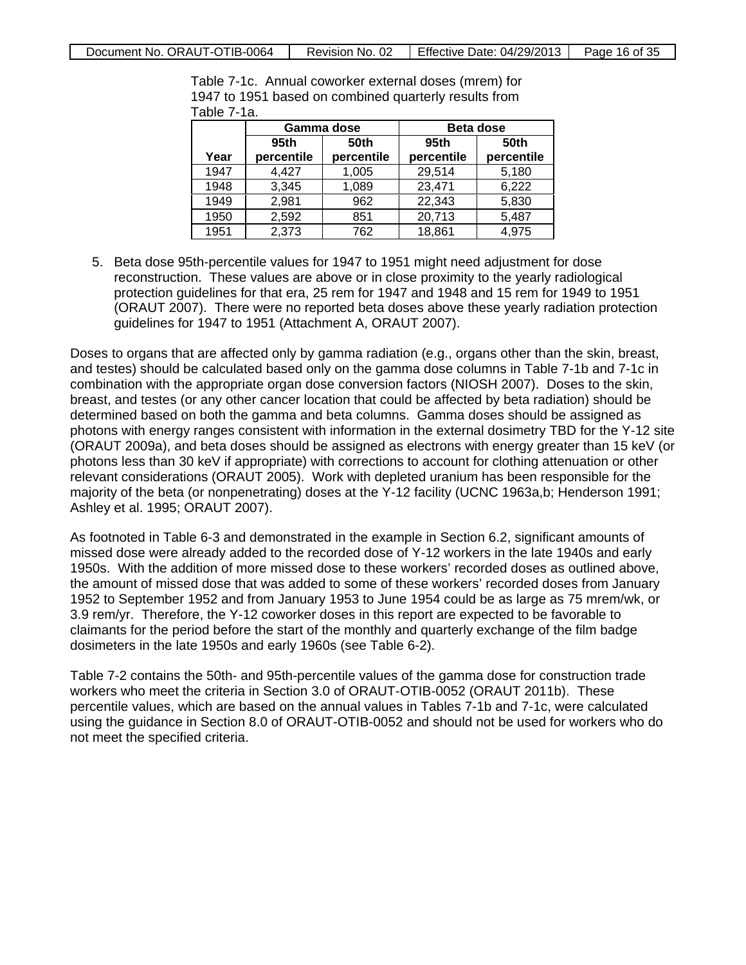|      | Gamma dose |             | <b>Beta dose</b>    |            |
|------|------------|-------------|---------------------|------------|
|      | 95th       | <b>50th</b> | 95th<br><b>50th</b> |            |
| Year | percentile | percentile  | percentile          | percentile |
| 1947 | 4,427      | 1,005       | 29,514              | 5,180      |
| 1948 | 3,345      | 1,089       | 23,471              | 6,222      |
| 1949 | 2,981      | 962         | 22,343              | 5,830      |
| 1950 | 2,592      | 851         | 20,713              | 5,487      |
| 1951 | 2,373      | 762         | 18,861              | 4,975      |

Table 7-1c. Annual coworker external doses (mrem) for 1947 to 1951 based on combined quarterly results from Table 7-1a.

5. Beta dose 95th-percentile values for 1947 to 1951 might need adjustment for dose reconstruction. These values are above or in close proximity to the yearly radiological protection guidelines for that era, 25 rem for 1947 and 1948 and 15 rem for 1949 to 1951 (ORAUT 2007). There were no reported beta doses above these yearly radiation protection guidelines for 1947 to 1951 (Attachment A, ORAUT 2007).

Doses to organs that are affected only by gamma radiation (e.g., organs other than the skin, breast, and testes) should be calculated based only on the gamma dose columns in Table 7-1b and 7-1c in combination with the appropriate organ dose conversion factors (NIOSH 2007). Doses to the skin, breast, and testes (or any other cancer location that could be affected by beta radiation) should be determined based on both the gamma and beta columns. Gamma doses should be assigned as photons with energy ranges consistent with information in the external dosimetry TBD for the Y-12 site (ORAUT 2009a), and beta doses should be assigned as electrons with energy greater than 15 keV (or photons less than 30 keV if appropriate) with corrections to account for clothing attenuation or other relevant considerations (ORAUT 2005). Work with depleted uranium has been responsible for the majority of the beta (or nonpenetrating) doses at the Y-12 facility (UCNC 1963a,b; Henderson 1991; Ashley et al. 1995; ORAUT 2007).

As footnoted in Table 6-3 and demonstrated in the example in Section 6.2, significant amounts of missed dose were already added to the recorded dose of Y-12 workers in the late 1940s and early 1950s. With the addition of more missed dose to these workers' recorded doses as outlined above, the amount of missed dose that was added to some of these workers' recorded doses from January 1952 to September 1952 and from January 1953 to June 1954 could be as large as 75 mrem/wk, or 3.9 rem/yr. Therefore, the Y-12 coworker doses in this report are expected to be favorable to claimants for the period before the start of the monthly and quarterly exchange of the film badge dosimeters in the late 1950s and early 1960s (see Table 6-2).

Table 7-2 contains the 50th- and 95th-percentile values of the gamma dose for construction trade workers who meet the criteria in Section 3.0 of ORAUT-OTIB-0052 (ORAUT 2011b). These percentile values, which are based on the annual values in Tables 7-1b and 7-1c, were calculated using the guidance in Section 8.0 of ORAUT-OTIB-0052 and should not be used for workers who do not meet the specified criteria.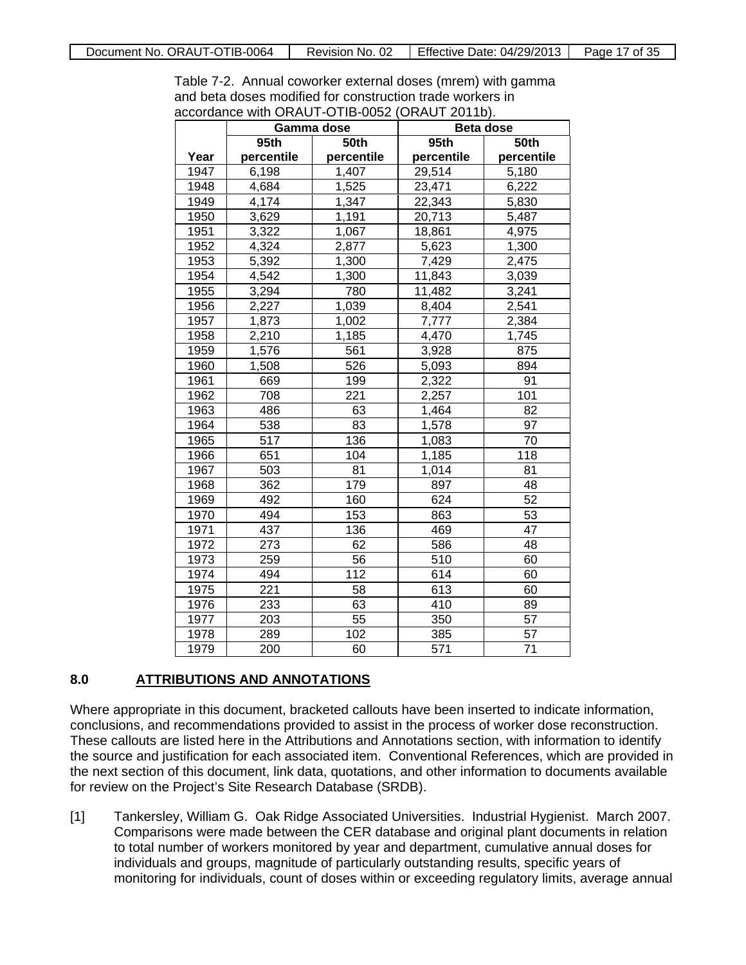Table 7-2. Annual coworker external doses (mrem) with gamma and beta doses modified for construction trade workers in accordance with ORAUT-OTIB-0052 (ORAUT 2011b).

|      |            | Gamma dose | .<br>Beta dose |             |
|------|------------|------------|----------------|-------------|
|      | 95th       | 50th       | 95th           | <b>50th</b> |
| Year | percentile | percentile | percentile     | percentile  |
| 1947 | 6,198      | 1,407      | 29,514         | 5,180       |
| 1948 | 4,684      | 1,525      | 23,471         | 6,222       |
| 1949 | 4,174      | 1,347      | 22,343         | 5,830       |
| 1950 | 3,629      | 1,191      | 20,713         | 5,487       |
| 1951 | 3,322      | 1,067      | 18,861         | 4,975       |
| 1952 | 4,324      | 2,877      | 5,623          | 1,300       |
| 1953 | 5,392      | 1,300      | 7,429          | 2,475       |
| 1954 | 4,542      | 1,300      | 11,843         | 3,039       |
| 1955 | 3,294      | 780        | 11,482         | 3,241       |
| 1956 | 2,227      | 1,039      | 8,404          | 2,541       |
| 1957 | 1,873      | 1,002      | 7,777          | 2,384       |
| 1958 | 2,210      | 1,185      | 4,470          | 1,745       |
| 1959 | 1,576      | 561        | 3,928          | 875         |
| 1960 | 1,508      | 526        | 5,093          | 894         |
| 1961 | 669        | 199        | 2,322          | 91          |
| 1962 | 708        | 221        | 2,257          | 101         |
| 1963 | 486        | 63         | 1,464          | 82          |
| 1964 | 538        | 83         | 1,578          | 97          |
| 1965 | 517        | 136        | 1,083          | 70          |
| 1966 | 651        | 104        | 1,185          | 118         |
| 1967 | 503        | 81         | 1,014          | 81          |
| 1968 | 362        | 179        | 897            | 48          |
| 1969 | 492        | 160        | 624            | 52          |
| 1970 | 494        | 153        | 863            | 53          |
| 1971 | 437        | 136        | 469            | 47          |
| 1972 | 273        | 62         | 586            | 48          |
| 1973 | 259        | 56         | 510            | 60          |
| 1974 | 494        | 112        | 614            | 60          |
| 1975 | 221        | 58         | 613            | 60          |
| 1976 | 233        | 63         | 410            | 89          |
| 1977 | 203        | 55         | 350            | 57          |
| 1978 | 289        | 102        | 385            | 57          |
| 1979 | 200        | 60         | 571            | 71          |

#### **8.0 ATTRIBUTIONS AND ANNOTATIONS**

Where appropriate in this document, bracketed callouts have been inserted to indicate information, conclusions, and recommendations provided to assist in the process of worker dose reconstruction. These callouts are listed here in the Attributions and Annotations section, with information to identify the source and justification for each associated item. Conventional References, which are provided in the next section of this document, link data, quotations, and other information to documents available for review on the Project's Site Research Database (SRDB).

[1] Tankersley, William G. Oak Ridge Associated Universities. Industrial Hygienist. March 2007. Comparisons were made between the CER database and original plant documents in relation to total number of workers monitored by year and department, cumulative annual doses for individuals and groups, magnitude of particularly outstanding results, specific years of monitoring for individuals, count of doses within or exceeding regulatory limits, average annual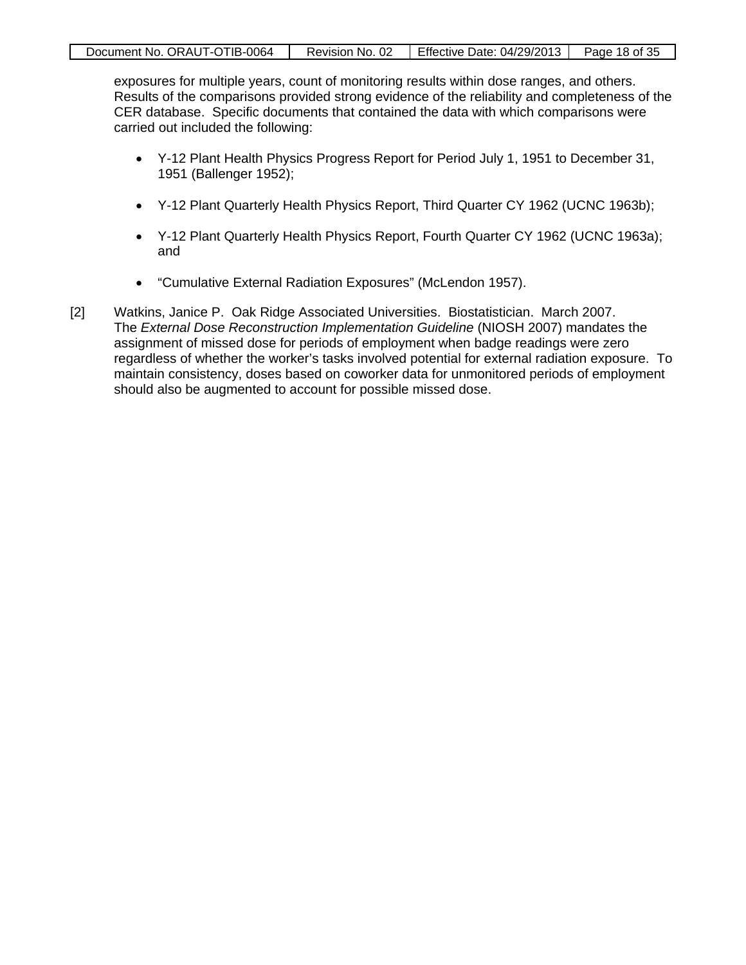| Document No. ORAUT-OTIB-0064 | Revision No. 02 | Effective Date: 04/29/2013 | Page 18 of 35 |
|------------------------------|-----------------|----------------------------|---------------|
|                              |                 |                            |               |

exposures for multiple years, count of monitoring results within dose ranges, and others. Results of the comparisons provided strong evidence of the reliability and completeness of the CER database. Specific documents that contained the data with which comparisons were carried out included the following:

- Y-12 Plant Health Physics Progress Report for Period July 1, 1951 to December 31, 1951 (Ballenger 1952);
- Y-12 Plant Quarterly Health Physics Report, Third Quarter CY 1962 (UCNC 1963b);
- Y-12 Plant Quarterly Health Physics Report, Fourth Quarter CY 1962 (UCNC 1963a); and
- "Cumulative External Radiation Exposures" (McLendon 1957).
- [2] Watkins, Janice P. Oak Ridge Associated Universities. Biostatistician. March 2007. The *External Dose Reconstruction Implementation Guideline* (NIOSH 2007) mandates the assignment of missed dose for periods of employment when badge readings were zero regardless of whether the worker's tasks involved potential for external radiation exposure. To maintain consistency, doses based on coworker data for unmonitored periods of employment should also be augmented to account for possible missed dose.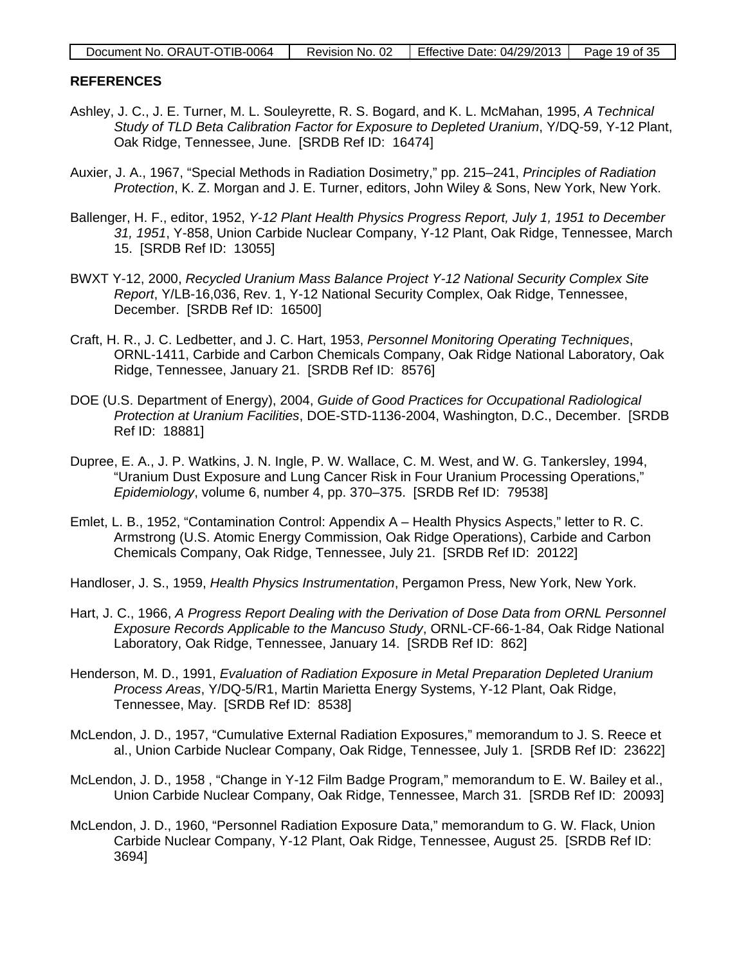| Document No. ORAUT-OTIB-0064 | Revision No. 02 | Effective Date: $04/29/2013$   Page 19 of 35 |  |
|------------------------------|-----------------|----------------------------------------------|--|
|                              |                 |                                              |  |

#### **REFERENCES**

- Ashley, J. C., J. E. Turner, M. L. Souleyrette, R. S. Bogard, and K. L. McMahan, 1995, *A Technical Study of TLD Beta Calibration Factor for Exposure to Depleted Uranium*, Y/DQ-59, Y-12 Plant, Oak Ridge, Tennessee, June. [SRDB Ref ID: 16474]
- Auxier, J. A., 1967, "Special Methods in Radiation Dosimetry," pp. 215–241, *Principles of Radiation Protection*, K. Z. Morgan and J. E. Turner, editors, John Wiley & Sons, New York, New York.
- Ballenger, H. F., editor, 1952, *Y-12 Plant Health Physics Progress Report, July 1, 1951 to December 31, 1951*, Y-858, Union Carbide Nuclear Company, Y-12 Plant, Oak Ridge, Tennessee, March 15. [SRDB Ref ID: 13055]
- BWXT Y-12, 2000, *Recycled Uranium Mass Balance Project Y-12 National Security Complex Site Report*, Y/LB-16,036, Rev. 1, Y-12 National Security Complex, Oak Ridge, Tennessee, December. [SRDB Ref ID: 16500]
- Craft, H. R., J. C. Ledbetter, and J. C. Hart, 1953, *Personnel Monitoring Operating Techniques*, ORNL-1411, Carbide and Carbon Chemicals Company, Oak Ridge National Laboratory, Oak Ridge, Tennessee, January 21. [SRDB Ref ID: 8576]
- DOE (U.S. Department of Energy), 2004, *Guide of Good Practices for Occupational Radiological Protection at Uranium Facilities*, DOE-STD-1136-2004, Washington, D.C., December. [SRDB Ref ID: 18881]
- Dupree, E. A., J. P. Watkins, J. N. Ingle, P. W. Wallace, C. M. West, and W. G. Tankersley, 1994, "Uranium Dust Exposure and Lung Cancer Risk in Four Uranium Processing Operations," *Epidemiology*, volume 6, number 4, pp. 370–375. [SRDB Ref ID: 79538]
- Emlet, L. B., 1952, "Contamination Control: Appendix A Health Physics Aspects," letter to R. C. Armstrong (U.S. Atomic Energy Commission, Oak Ridge Operations), Carbide and Carbon Chemicals Company, Oak Ridge, Tennessee, July 21. [SRDB Ref ID: 20122]
- Handloser, J. S., 1959, *Health Physics Instrumentation*, Pergamon Press, New York, New York.
- Hart, J. C., 1966, *A Progress Report Dealing with the Derivation of Dose Data from ORNL Personnel Exposure Records Applicable to the Mancuso Study*, ORNL-CF-66-1-84, Oak Ridge National Laboratory, Oak Ridge, Tennessee, January 14. [SRDB Ref ID: 862]
- Henderson, M. D., 1991, *Evaluation of Radiation Exposure in Metal Preparation Depleted Uranium Process Areas*, Y/DQ-5/R1, Martin Marietta Energy Systems, Y-12 Plant, Oak Ridge, Tennessee, May. [SRDB Ref ID: 8538]
- McLendon, J. D., 1957, "Cumulative External Radiation Exposures," memorandum to J. S. Reece et al., Union Carbide Nuclear Company, Oak Ridge, Tennessee, July 1. [SRDB Ref ID: 23622]
- McLendon, J. D., 1958 , "Change in Y-12 Film Badge Program," memorandum to E. W. Bailey et al., Union Carbide Nuclear Company, Oak Ridge, Tennessee, March 31. [SRDB Ref ID: 20093]
- McLendon, J. D., 1960, "Personnel Radiation Exposure Data," memorandum to G. W. Flack, Union Carbide Nuclear Company, Y-12 Plant, Oak Ridge, Tennessee, August 25. [SRDB Ref ID: 3694]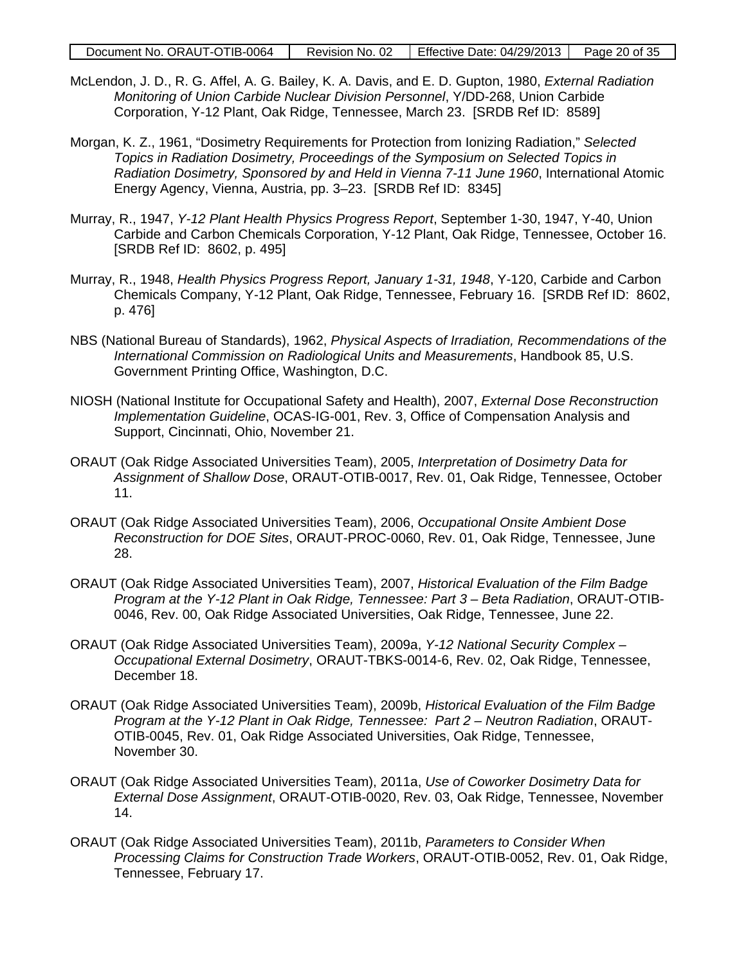| Document No. ORAUT-OTIB-0064 | Revision No. 02 | Effective Date: 04/29/2013 | Page 20 of 35 |
|------------------------------|-----------------|----------------------------|---------------|
|------------------------------|-----------------|----------------------------|---------------|

- McLendon, J. D., R. G. Affel, A. G. Bailey, K. A. Davis, and E. D. Gupton, 1980, *External Radiation Monitoring of Union Carbide Nuclear Division Personnel*, Y/DD-268, Union Carbide Corporation, Y-12 Plant, Oak Ridge, Tennessee, March 23. [SRDB Ref ID: 8589]
- Morgan, K. Z., 1961, "Dosimetry Requirements for Protection from Ionizing Radiation," *Selected Topics in Radiation Dosimetry, Proceedings of the Symposium on Selected Topics in Radiation Dosimetry, Sponsored by and Held in Vienna 7-11 June 1960*, International Atomic Energy Agency, Vienna, Austria, pp. 3–23. [SRDB Ref ID: 8345]
- Murray, R., 1947, *Y-12 Plant Health Physics Progress Report*, September 1-30, 1947, Y-40, Union Carbide and Carbon Chemicals Corporation, Y-12 Plant, Oak Ridge, Tennessee, October 16. [SRDB Ref ID: 8602, p. 495]
- Murray, R., 1948, *Health Physics Progress Report, January 1-31, 1948*, Y-120, Carbide and Carbon Chemicals Company, Y-12 Plant, Oak Ridge, Tennessee, February 16. [SRDB Ref ID: 8602, p. 476]
- NBS (National Bureau of Standards), 1962, *Physical Aspects of Irradiation, Recommendations of the International Commission on Radiological Units and Measurements*, Handbook 85, U.S. Government Printing Office, Washington, D.C.
- NIOSH (National Institute for Occupational Safety and Health), 2007, *External Dose Reconstruction Implementation Guideline*, OCAS-IG-001, Rev. 3, Office of Compensation Analysis and Support, Cincinnati, Ohio, November 21.
- ORAUT (Oak Ridge Associated Universities Team), 2005, *Interpretation of Dosimetry Data for Assignment of Shallow Dose*, ORAUT-OTIB-0017, Rev. 01, Oak Ridge, Tennessee, October 11.
- ORAUT (Oak Ridge Associated Universities Team), 2006, *Occupational Onsite Ambient Dose Reconstruction for DOE Sites*, ORAUT-PROC-0060, Rev. 01, Oak Ridge, Tennessee, June 28.
- ORAUT (Oak Ridge Associated Universities Team), 2007, *Historical Evaluation of the Film Badge Program at the Y-12 Plant in Oak Ridge, Tennessee: Part 3 – Beta Radiation*, ORAUT-OTIB-0046, Rev. 00, Oak Ridge Associated Universities, Oak Ridge, Tennessee, June 22.
- ORAUT (Oak Ridge Associated Universities Team), 2009a, *Y-12 National Security Complex – Occupational External Dosimetry*, ORAUT-TBKS-0014-6, Rev. 02, Oak Ridge, Tennessee, December 18.
- ORAUT (Oak Ridge Associated Universities Team), 2009b, *Historical Evaluation of the Film Badge Program at the Y-12 Plant in Oak Ridge, Tennessee: Part 2 – Neutron Radiation*, ORAUT-OTIB-0045, Rev. 01, Oak Ridge Associated Universities, Oak Ridge, Tennessee, November 30.
- ORAUT (Oak Ridge Associated Universities Team), 2011a, *Use of Coworker Dosimetry Data for External Dose Assignment*, ORAUT-OTIB-0020, Rev. 03, Oak Ridge, Tennessee, November 14.
- ORAUT (Oak Ridge Associated Universities Team), 2011b, *Parameters to Consider When Processing Claims for Construction Trade Workers*, ORAUT-OTIB-0052, Rev. 01, Oak Ridge, Tennessee, February 17.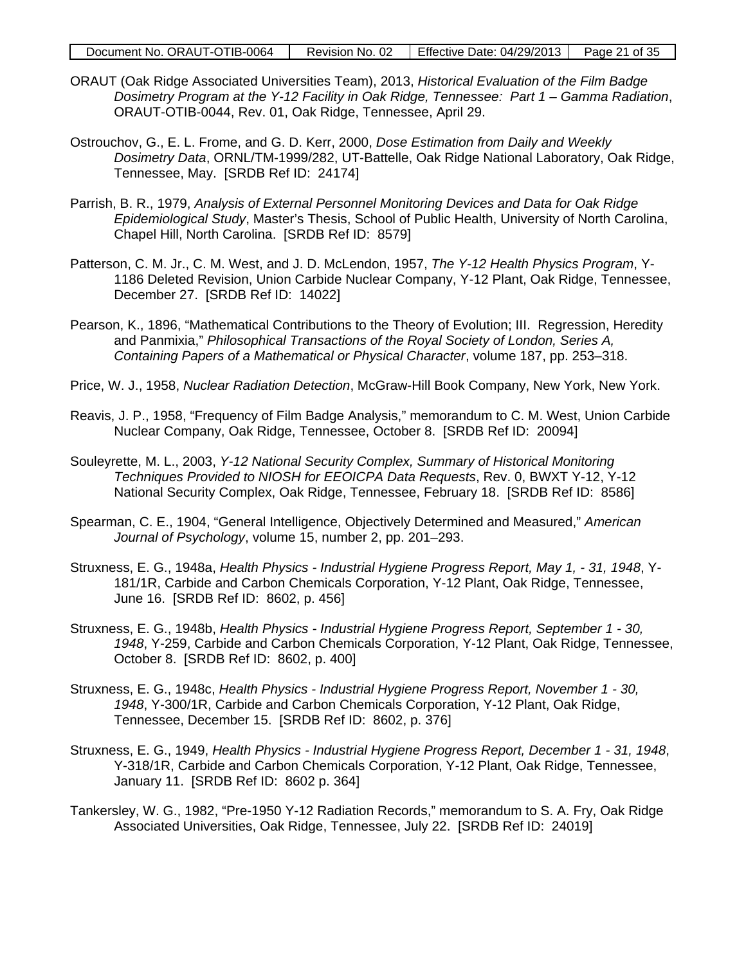| Document No. ORAUT-OTIB-0064 |  | Revision No. 02   Effective Date: $04/29/2013$   Page 21 of 35 |  |
|------------------------------|--|----------------------------------------------------------------|--|
|------------------------------|--|----------------------------------------------------------------|--|

- ORAUT (Oak Ridge Associated Universities Team), 2013, *Historical Evaluation of the Film Badge Dosimetry Program at the Y-12 Facility in Oak Ridge, Tennessee: Part 1 – Gamma Radiation*, ORAUT-OTIB-0044, Rev. 01, Oak Ridge, Tennessee, April 29.
- Ostrouchov, G., E. L. Frome, and G. D. Kerr, 2000, *Dose Estimation from Daily and Weekly Dosimetry Data*, ORNL/TM-1999/282, UT-Battelle, Oak Ridge National Laboratory, Oak Ridge, Tennessee, May. [SRDB Ref ID: 24174]
- Parrish, B. R., 1979, *Analysis of External Personnel Monitoring Devices and Data for Oak Ridge Epidemiological Study*, Master's Thesis, School of Public Health, University of North Carolina, Chapel Hill, North Carolina. [SRDB Ref ID: 8579]
- Patterson, C. M. Jr., C. M. West, and J. D. McLendon, 1957, *The Y-12 Health Physics Program*, Y-1186 Deleted Revision, Union Carbide Nuclear Company, Y-12 Plant, Oak Ridge, Tennessee, December 27. [SRDB Ref ID: 14022]
- Pearson, K., 1896, "Mathematical Contributions to the Theory of Evolution; III. Regression, Heredity and Panmixia," *Philosophical Transactions of the Royal Society of London, Series A, Containing Papers of a Mathematical or Physical Character*, volume 187, pp. 253–318.
- Price, W. J., 1958, *Nuclear Radiation Detection*, McGraw-Hill Book Company, New York, New York.
- Reavis, J. P., 1958, "Frequency of Film Badge Analysis," memorandum to C. M. West, Union Carbide Nuclear Company, Oak Ridge, Tennessee, October 8. [SRDB Ref ID: 20094]
- Souleyrette, M. L., 2003, *Y-12 National Security Complex, Summary of Historical Monitoring Techniques Provided to NIOSH for EEOICPA Data Requests*, Rev. 0, BWXT Y-12, Y-12 National Security Complex, Oak Ridge, Tennessee, February 18. [SRDB Ref ID: 8586]
- Spearman, C. E., 1904, "General Intelligence, Objectively Determined and Measured," *American Journal of Psychology*, volume 15, number 2, pp. 201–293.
- Struxness, E. G., 1948a, *Health Physics - Industrial Hygiene Progress Report, May 1, - 31, 1948*, Y-181/1R, Carbide and Carbon Chemicals Corporation, Y-12 Plant, Oak Ridge, Tennessee, June 16. [SRDB Ref ID: 8602, p. 456]
- Struxness, E. G., 1948b, *Health Physics - Industrial Hygiene Progress Report, September 1 - 30, 1948*, Y-259, Carbide and Carbon Chemicals Corporation, Y-12 Plant, Oak Ridge, Tennessee, October 8. [SRDB Ref ID: 8602, p. 400]
- Struxness, E. G., 1948c, *Health Physics - Industrial Hygiene Progress Report, November 1 - 30, 1948*, Y-300/1R, Carbide and Carbon Chemicals Corporation, Y-12 Plant, Oak Ridge, Tennessee, December 15. [SRDB Ref ID: 8602, p. 376]
- Struxness, E. G., 1949, *Health Physics - Industrial Hygiene Progress Report, December 1 - 31, 1948*, Y-318/1R, Carbide and Carbon Chemicals Corporation, Y-12 Plant, Oak Ridge, Tennessee, January 11. [SRDB Ref ID: 8602 p. 364]
- Tankersley, W. G., 1982, "Pre-1950 Y-12 Radiation Records," memorandum to S. A. Fry, Oak Ridge Associated Universities, Oak Ridge, Tennessee, July 22. [SRDB Ref ID: 24019]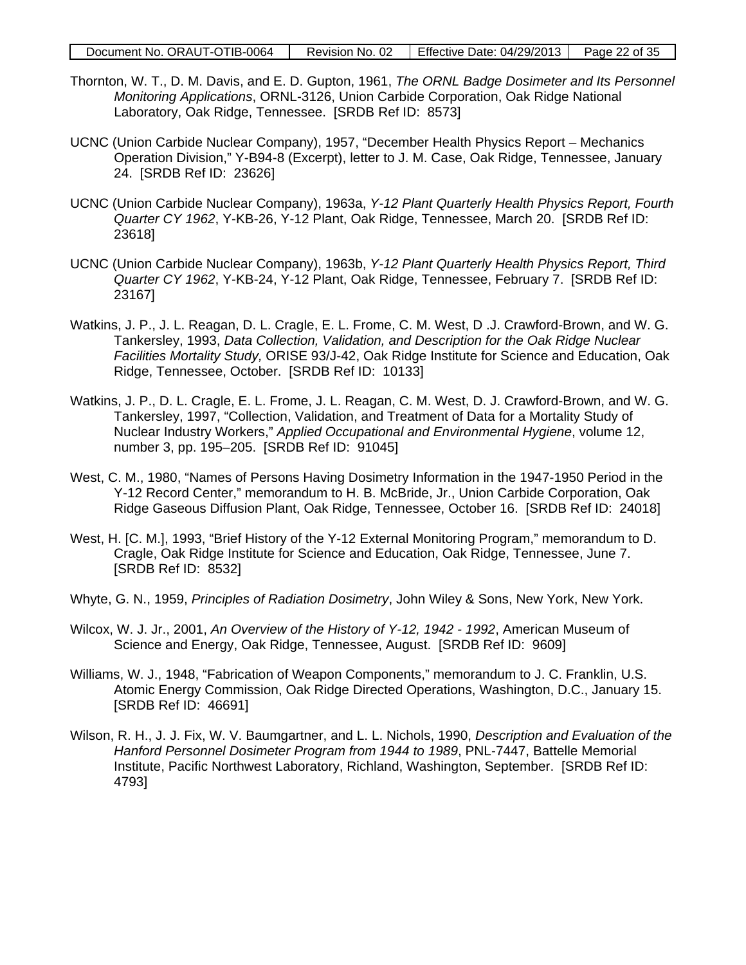| Document No. ORAUT-OTIB-0064 | Revision No. 02 | Effective Date: $04/29/2013$ Page 22 of 35 |  |
|------------------------------|-----------------|--------------------------------------------|--|
|------------------------------|-----------------|--------------------------------------------|--|

- Thornton, W. T., D. M. Davis, and E. D. Gupton, 1961, *The ORNL Badge Dosimeter and Its Personnel Monitoring Applications*, ORNL-3126, Union Carbide Corporation, Oak Ridge National Laboratory, Oak Ridge, Tennessee. [SRDB Ref ID: 8573]
- UCNC (Union Carbide Nuclear Company), 1957, "December Health Physics Report Mechanics Operation Division," Y-B94-8 (Excerpt), letter to J. M. Case, Oak Ridge, Tennessee, January 24. [SRDB Ref ID: 23626]
- UCNC (Union Carbide Nuclear Company), 1963a, *Y-12 Plant Quarterly Health Physics Report, Fourth Quarter CY 1962*, Y-KB-26, Y-12 Plant, Oak Ridge, Tennessee, March 20. [SRDB Ref ID: 23618]
- UCNC (Union Carbide Nuclear Company), 1963b, *Y-12 Plant Quarterly Health Physics Report, Third Quarter CY 1962*, Y-KB-24, Y-12 Plant, Oak Ridge, Tennessee, February 7. [SRDB Ref ID: 23167]
- Watkins, J. P., J. L. Reagan, D. L. Cragle, E. L. Frome, C. M. West, D .J. Crawford-Brown, and W. G. Tankersley, 1993, *Data Collection, Validation, and Description for the Oak Ridge Nuclear Facilities Mortality Study,* ORISE 93/J-42, Oak Ridge Institute for Science and Education, Oak Ridge, Tennessee, October. [SRDB Ref ID: 10133]
- Watkins, J. P., D. L. Cragle, E. L. Frome, J. L. Reagan, C. M. West, D. J. Crawford-Brown, and W. G. Tankersley, 1997, "Collection, Validation, and Treatment of Data for a Mortality Study of Nuclear Industry Workers," *Applied Occupational and Environmental Hygiene*, volume 12, number 3, pp. 195–205. [SRDB Ref ID: 91045]
- West, C. M., 1980, "Names of Persons Having Dosimetry Information in the 1947-1950 Period in the Y-12 Record Center," memorandum to H. B. McBride, Jr., Union Carbide Corporation, Oak Ridge Gaseous Diffusion Plant, Oak Ridge, Tennessee, October 16. [SRDB Ref ID: 24018]
- West, H. [C. M.], 1993, "Brief History of the Y-12 External Monitoring Program," memorandum to D. Cragle, Oak Ridge Institute for Science and Education, Oak Ridge, Tennessee, June 7. [SRDB Ref ID: 8532]
- Whyte, G. N., 1959, *Principles of Radiation Dosimetry*, John Wiley & Sons, New York, New York.
- Wilcox, W. J. Jr., 2001, *An Overview of the History of Y-12, 1942 - 1992*, American Museum of Science and Energy, Oak Ridge, Tennessee, August. [SRDB Ref ID: 9609]
- Williams, W. J., 1948, "Fabrication of Weapon Components," memorandum to J. C. Franklin, U.S. Atomic Energy Commission, Oak Ridge Directed Operations, Washington, D.C., January 15. [SRDB Ref ID: 46691]
- Wilson, R. H., J. J. Fix, W. V. Baumgartner, and L. L. Nichols, 1990, *Description and Evaluation of the Hanford Personnel Dosimeter Program from 1944 to 1989*, PNL-7447, Battelle Memorial Institute, Pacific Northwest Laboratory, Richland, Washington, September. [SRDB Ref ID: 4793]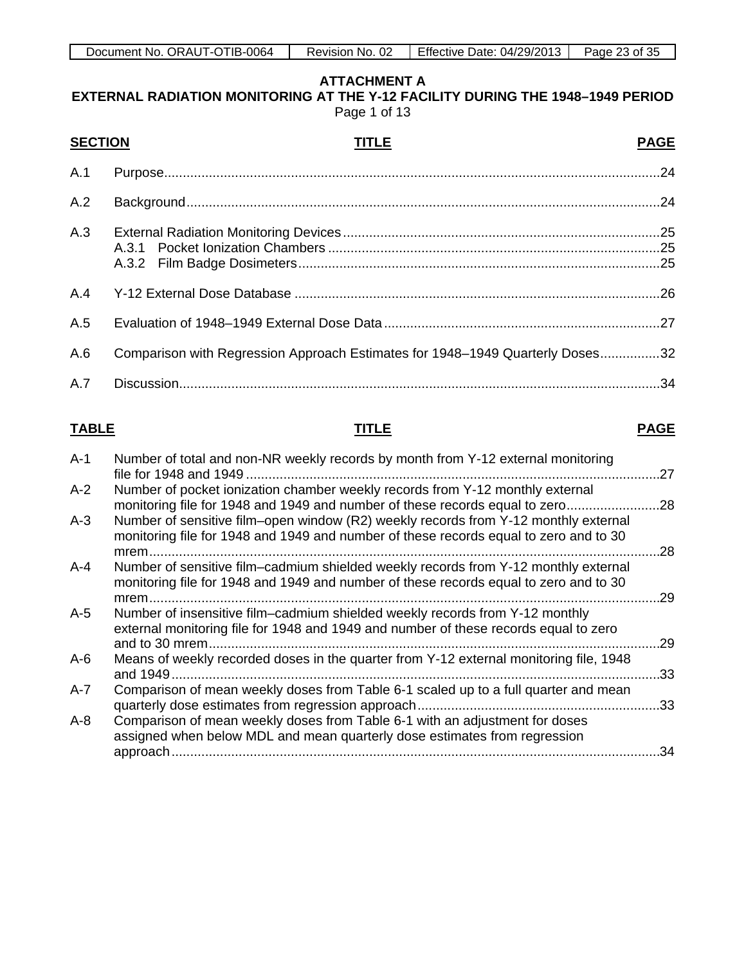**EXTERNAL RADIATION MONITORING AT THE Y-12 FACILITY DURING THE 1948–1949 PERIOD** Page 1 of 13

<span id="page-22-0"></span>

| <b>SECTION</b> | TITLE                                                                         | <b>PAGE</b> |
|----------------|-------------------------------------------------------------------------------|-------------|
| A.1            |                                                                               |             |
| A.2            |                                                                               |             |
| A.3            |                                                                               |             |
| A.4            |                                                                               |             |
| A.5            |                                                                               |             |
| A.6            | Comparison with Regression Approach Estimates for 1948-1949 Quarterly Doses32 |             |
| A.7            |                                                                               |             |

# **TABLE TITLE PAGE**

| Number of total and non-NR weekly records by month from Y-12 external monitoring                                                                                                        | 27                                                          |
|-----------------------------------------------------------------------------------------------------------------------------------------------------------------------------------------|-------------------------------------------------------------|
| Number of pocket ionization chamber weekly records from Y-12 monthly external<br>monitoring file for 1948 and 1949 and number of these records equal to zero                            | .28                                                         |
| Number of sensitive film–open window (R2) weekly records from Y-12 monthly external<br>monitoring file for 1948 and 1949 and number of these records equal to zero and to 30            | .28                                                         |
| Number of sensitive film–cadmium shielded weekly records from Y-12 monthly external<br>monitoring file for 1948 and 1949 and number of these records equal to zero and to 30<br>$m$ rem | .29                                                         |
| Number of insensitive film-cadmium shielded weekly records from Y-12 monthly<br>external monitoring file for 1948 and 1949 and number of these records equal to zero                    | .29                                                         |
| Means of weekly recorded doses in the quarter from Y-12 external monitoring file, 1948<br>and 1949                                                                                      | .33                                                         |
| Comparison of mean weekly doses from Table 6-1 scaled up to a full quarter and mean                                                                                                     | .33                                                         |
| Comparison of mean weekly doses from Table 6-1 with an adjustment for doses<br>assigned when below MDL and mean quarterly dose estimates from regression<br>approach                    | .34                                                         |
|                                                                                                                                                                                         | $mrem$<br>quarterly dose estimates from regression approach |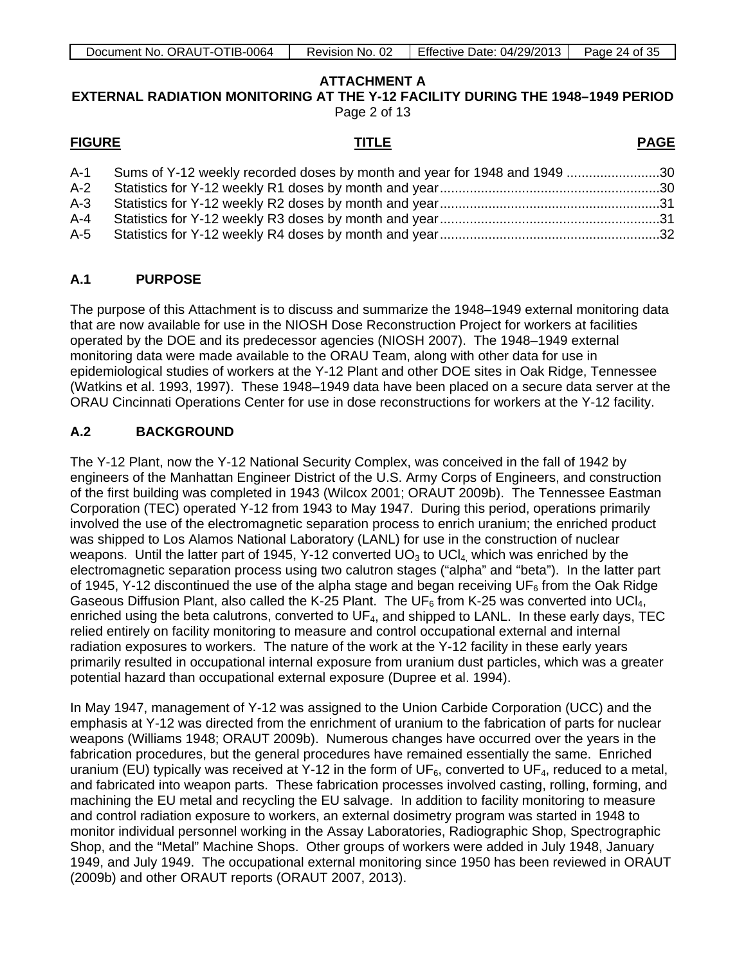| Document No. ORAUT-OTIB-0064 | Revision No. 02 | Effective Date: $04/29/2013$   Page 24 of 35 |  |
|------------------------------|-----------------|----------------------------------------------|--|
|------------------------------|-----------------|----------------------------------------------|--|

**EXTERNAL RADIATION MONITORING AT THE Y-12 FACILITY DURING THE 1948–1949 PERIOD** Page 2 of 13

| <b>FIGURE</b> | TITLE                                                                         | <b>PAGE</b> |
|---------------|-------------------------------------------------------------------------------|-------------|
|               | A-1 Sums of Y-12 weekly recorded doses by month and year for 1948 and 1949 30 |             |
| $A-2$         |                                                                               |             |
|               |                                                                               |             |
|               |                                                                               |             |

A-5 Statistics for Y-12 weekly R4 doses by month and year...........................................................32

# **A.1 PURPOSE**

The purpose of this Attachment is to discuss and summarize the 1948–1949 external monitoring data that are now available for use in the NIOSH Dose Reconstruction Project for workers at facilities operated by the DOE and its predecessor agencies (NIOSH 2007). The 1948–1949 external monitoring data were made available to the ORAU Team, along with other data for use in epidemiological studies of workers at the Y-12 Plant and other DOE sites in Oak Ridge, Tennessee (Watkins et al. 1993, 1997). These 1948–1949 data have been placed on a secure data server at the ORAU Cincinnati Operations Center for use in dose reconstructions for workers at the Y-12 facility.

# **A.2 BACKGROUND**

The Y-12 Plant, now the Y-12 National Security Complex, was conceived in the fall of 1942 by engineers of the Manhattan Engineer District of the U.S. Army Corps of Engineers, and construction of the first building was completed in 1943 (Wilcox 2001; ORAUT 2009b). The Tennessee Eastman Corporation (TEC) operated Y-12 from 1943 to May 1947. During this period, operations primarily involved the use of the electromagnetic separation process to enrich uranium; the enriched product was shipped to Los Alamos National Laboratory (LANL) for use in the construction of nuclear weapons. Until the latter part of 1945, Y-12 converted  $UO<sub>3</sub>$  to UCl<sub>4</sub> which was enriched by the electromagnetic separation process using two calutron stages ("alpha" and "beta"). In the latter part of 1945, Y-12 discontinued the use of the alpha stage and began receiving UF<sub>6</sub> from the Oak Ridge Gaseous Diffusion Plant, also called the K-25 Plant. The UF<sub>6</sub> from K-25 was converted into UCl<sub>4</sub>, enriched using the beta calutrons, converted to  $UF_4$ , and shipped to LANL. In these early days, TEC relied entirely on facility monitoring to measure and control occupational external and internal radiation exposures to workers. The nature of the work at the Y-12 facility in these early years primarily resulted in occupational internal exposure from uranium dust particles, which was a greater potential hazard than occupational external exposure (Dupree et al. 1994).

In May 1947, management of Y-12 was assigned to the Union Carbide Corporation (UCC) and the emphasis at Y-12 was directed from the enrichment of uranium to the fabrication of parts for nuclear weapons (Williams 1948; ORAUT 2009b). Numerous changes have occurred over the years in the fabrication procedures, but the general procedures have remained essentially the same. Enriched uranium (EU) typically was received at Y-12 in the form of  $UF_6$ , converted to UF<sub>4</sub>, reduced to a metal, and fabricated into weapon parts. These fabrication processes involved casting, rolling, forming, and machining the EU metal and recycling the EU salvage. In addition to facility monitoring to measure and control radiation exposure to workers, an external dosimetry program was started in 1948 to monitor individual personnel working in the Assay Laboratories, Radiographic Shop, Spectrographic Shop, and the "Metal" Machine Shops. Other groups of workers were added in July 1948, January 1949, and July 1949. The occupational external monitoring since 1950 has been reviewed in ORAUT (2009b) and other ORAUT reports (ORAUT 2007, 2013).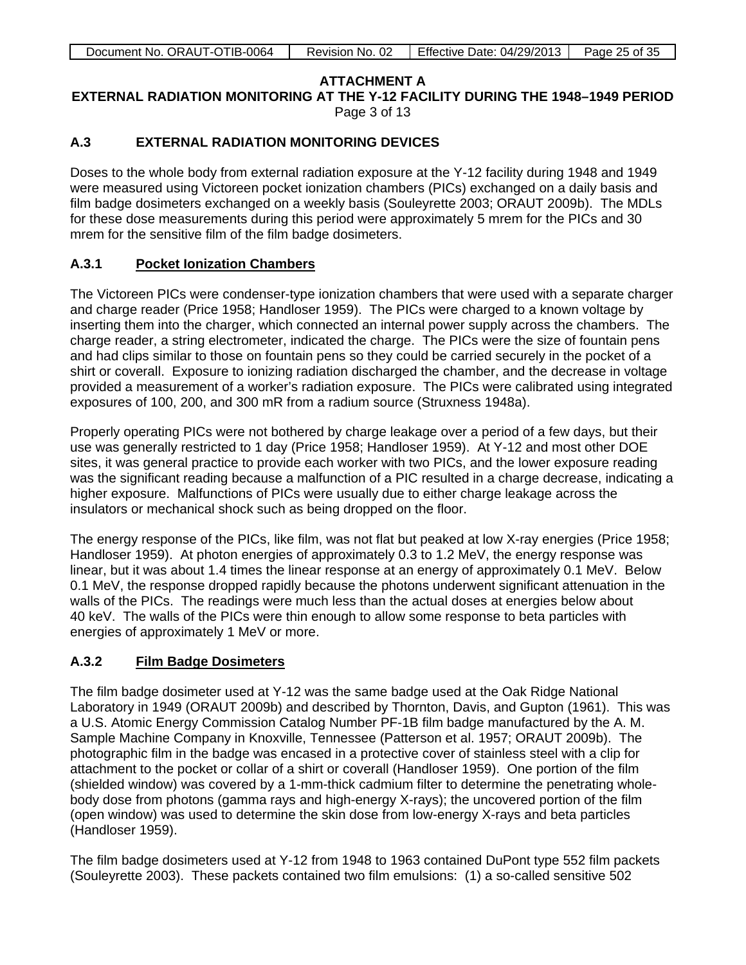**EXTERNAL RADIATION MONITORING AT THE Y-12 FACILITY DURING THE 1948–1949 PERIOD** Page 3 of 13

# **A.3 EXTERNAL RADIATION MONITORING DEVICES**

Doses to the whole body from external radiation exposure at the Y-12 facility during 1948 and 1949 were measured using Victoreen pocket ionization chambers (PICs) exchanged on a daily basis and film badge dosimeters exchanged on a weekly basis (Souleyrette 2003; ORAUT 2009b). The MDLs for these dose measurements during this period were approximately 5 mrem for the PICs and 30 mrem for the sensitive film of the film badge dosimeters.

#### **A.3.1 Pocket Ionization Chambers**

The Victoreen PICs were condenser-type ionization chambers that were used with a separate charger and charge reader (Price 1958; Handloser 1959). The PICs were charged to a known voltage by inserting them into the charger, which connected an internal power supply across the chambers. The charge reader, a string electrometer, indicated the charge. The PICs were the size of fountain pens and had clips similar to those on fountain pens so they could be carried securely in the pocket of a shirt or coverall. Exposure to ionizing radiation discharged the chamber, and the decrease in voltage provided a measurement of a worker's radiation exposure. The PICs were calibrated using integrated exposures of 100, 200, and 300 mR from a radium source (Struxness 1948a).

Properly operating PICs were not bothered by charge leakage over a period of a few days, but their use was generally restricted to 1 day (Price 1958; Handloser 1959). At Y-12 and most other DOE sites, it was general practice to provide each worker with two PICs, and the lower exposure reading was the significant reading because a malfunction of a PIC resulted in a charge decrease, indicating a higher exposure. Malfunctions of PICs were usually due to either charge leakage across the insulators or mechanical shock such as being dropped on the floor.

The energy response of the PICs, like film, was not flat but peaked at low X-ray energies (Price 1958; Handloser 1959). At photon energies of approximately 0.3 to 1.2 MeV, the energy response was linear, but it was about 1.4 times the linear response at an energy of approximately 0.1 MeV. Below 0.1 MeV, the response dropped rapidly because the photons underwent significant attenuation in the walls of the PICs. The readings were much less than the actual doses at energies below about 40 keV. The walls of the PICs were thin enough to allow some response to beta particles with energies of approximately 1 MeV or more.

# **A.3.2 Film Badge Dosimeters**

The film badge dosimeter used at Y-12 was the same badge used at the Oak Ridge National Laboratory in 1949 (ORAUT 2009b) and described by Thornton, Davis, and Gupton (1961). This was a U.S. Atomic Energy Commission Catalog Number PF-1B film badge manufactured by the A. M. Sample Machine Company in Knoxville, Tennessee (Patterson et al. 1957; ORAUT 2009b). The photographic film in the badge was encased in a protective cover of stainless steel with a clip for attachment to the pocket or collar of a shirt or coverall (Handloser 1959). One portion of the film (shielded window) was covered by a 1-mm-thick cadmium filter to determine the penetrating wholebody dose from photons (gamma rays and high-energy X-rays); the uncovered portion of the film (open window) was used to determine the skin dose from low-energy X-rays and beta particles (Handloser 1959).

The film badge dosimeters used at Y-12 from 1948 to 1963 contained DuPont type 552 film packets (Souleyrette 2003). These packets contained two film emulsions: (1) a so-called sensitive 502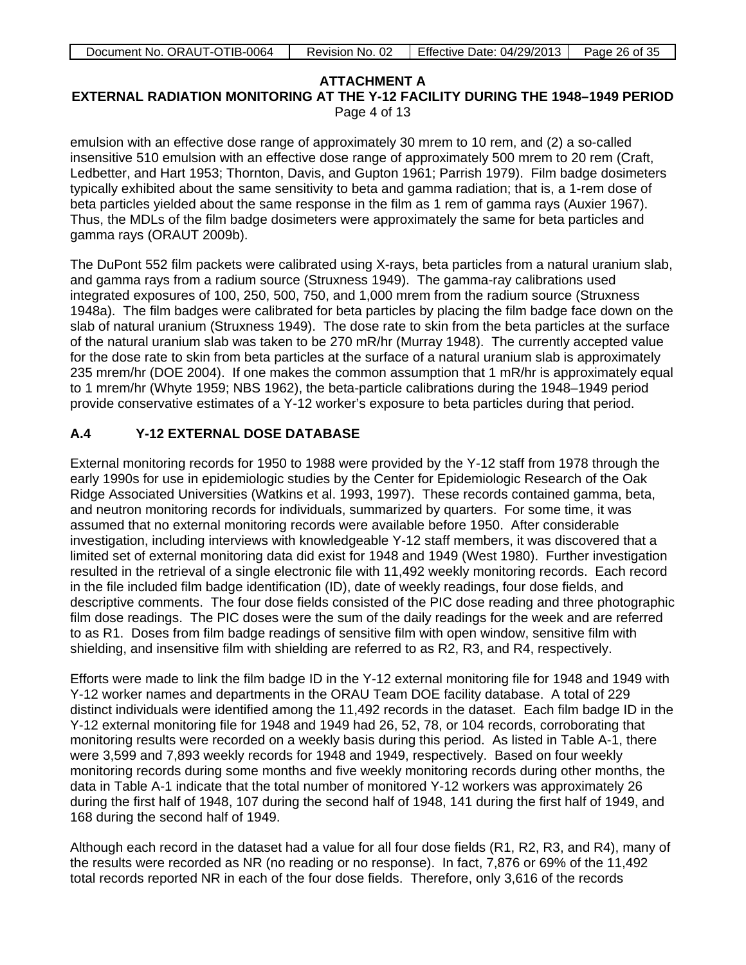| Document No. ORAUT-OTIB-0064 | Revision No. | Effective Date: 04/29/2013 | Page 26 of 35 |
|------------------------------|--------------|----------------------------|---------------|
|                              |              |                            |               |

**EXTERNAL RADIATION MONITORING AT THE Y-12 FACILITY DURING THE 1948–1949 PERIOD** Page 4 of 13

emulsion with an effective dose range of approximately 30 mrem to 10 rem, and (2) a so-called insensitive 510 emulsion with an effective dose range of approximately 500 mrem to 20 rem (Craft, Ledbetter, and Hart 1953; Thornton, Davis, and Gupton 1961; Parrish 1979). Film badge dosimeters typically exhibited about the same sensitivity to beta and gamma radiation; that is, a 1-rem dose of beta particles yielded about the same response in the film as 1 rem of gamma rays (Auxier 1967). Thus, the MDLs of the film badge dosimeters were approximately the same for beta particles and gamma rays (ORAUT 2009b).

The DuPont 552 film packets were calibrated using X-rays, beta particles from a natural uranium slab, and gamma rays from a radium source (Struxness 1949). The gamma-ray calibrations used integrated exposures of 100, 250, 500, 750, and 1,000 mrem from the radium source (Struxness 1948a). The film badges were calibrated for beta particles by placing the film badge face down on the slab of natural uranium (Struxness 1949). The dose rate to skin from the beta particles at the surface of the natural uranium slab was taken to be 270 mR/hr (Murray 1948). The currently accepted value for the dose rate to skin from beta particles at the surface of a natural uranium slab is approximately 235 mrem/hr (DOE 2004). If one makes the common assumption that 1 mR/hr is approximately equal to 1 mrem/hr (Whyte 1959; NBS 1962), the beta-particle calibrations during the 1948–1949 period provide conservative estimates of a Y-12 worker's exposure to beta particles during that period.

# **A.4 Y-12 EXTERNAL DOSE DATABASE**

External monitoring records for 1950 to 1988 were provided by the Y-12 staff from 1978 through the early 1990s for use in epidemiologic studies by the Center for Epidemiologic Research of the Oak Ridge Associated Universities (Watkins et al. 1993, 1997). These records contained gamma, beta, and neutron monitoring records for individuals, summarized by quarters. For some time, it was assumed that no external monitoring records were available before 1950. After considerable investigation, including interviews with knowledgeable Y-12 staff members, it was discovered that a limited set of external monitoring data did exist for 1948 and 1949 (West 1980). Further investigation resulted in the retrieval of a single electronic file with 11,492 weekly monitoring records. Each record in the file included film badge identification (ID), date of weekly readings, four dose fields, and descriptive comments. The four dose fields consisted of the PIC dose reading and three photographic film dose readings. The PIC doses were the sum of the daily readings for the week and are referred to as R1. Doses from film badge readings of sensitive film with open window, sensitive film with shielding, and insensitive film with shielding are referred to as R2, R3, and R4, respectively.

Efforts were made to link the film badge ID in the Y-12 external monitoring file for 1948 and 1949 with Y-12 worker names and departments in the ORAU Team DOE facility database. A total of 229 distinct individuals were identified among the 11,492 records in the dataset. Each film badge ID in the Y-12 external monitoring file for 1948 and 1949 had 26, 52, 78, or 104 records, corroborating that monitoring results were recorded on a weekly basis during this period. As listed in Table A-1, there were 3,599 and 7,893 weekly records for 1948 and 1949, respectively. Based on four weekly monitoring records during some months and five weekly monitoring records during other months, the data in Table A-1 indicate that the total number of monitored Y-12 workers was approximately 26 during the first half of 1948, 107 during the second half of 1948, 141 during the first half of 1949, and 168 during the second half of 1949.

Although each record in the dataset had a value for all four dose fields (R1, R2, R3, and R4), many of the results were recorded as NR (no reading or no response). In fact, 7,876 or 69% of the 11,492 total records reported NR in each of the four dose fields. Therefore, only 3,616 of the records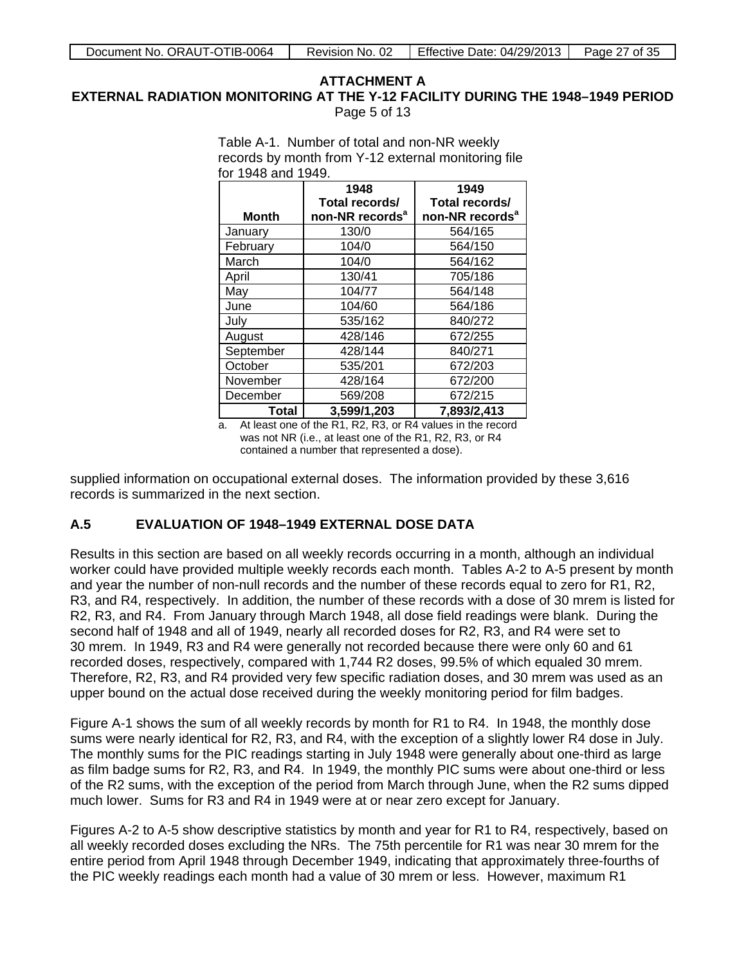### **ATTACHMENT A EXTERNAL RADIATION MONITORING AT THE Y-12 FACILITY DURING THE 1948–1949 PERIOD** Page 5 of 13

Table A-1. Number of total and non-NR weekly

|              | 1948                        | 1949                        |
|--------------|-----------------------------|-----------------------------|
|              | Total records/              | Total records/              |
| <b>Month</b> | non-NR records <sup>a</sup> | non-NR records <sup>a</sup> |
| January      | 130/0                       | 564/165                     |
| February     | 104/0                       | 564/150                     |
| March        | 104/0                       | 564/162                     |
| April        | 130/41                      | 705/186                     |
| May          | 104/77                      | 564/148                     |
| June         | 104/60                      | 564/186                     |
| July         | 535/162                     | 840/272                     |
| August       | 428/146                     | 672/255                     |
| September    | 428/144                     | 840/271                     |
| October      | 535/201                     | 672/203                     |
| November     | 428/164                     | 672/200                     |
| December     | 569/208                     | 672/215                     |
| Total        | 3,599/1,203                 | 7,893/2,413                 |

a. At least one of the R1, R2, R3, or R4 values in the record was not NR (i.e., at least one of the R1, R2, R3, or R4 contained a number that represented a dose).

supplied information on occupational external doses. The information provided by these 3,616 records is summarized in the next section.

#### **A.5 EVALUATION OF 1948–1949 EXTERNAL DOSE DATA**

Results in this section are based on all weekly records occurring in a month, although an individual worker could have provided multiple weekly records each month. Tables A-2 to A-5 present by month and year the number of non-null records and the number of these records equal to zero for R1, R2, R3, and R4, respectively. In addition, the number of these records with a dose of 30 mrem is listed for R2, R3, and R4. From January through March 1948, all dose field readings were blank. During the second half of 1948 and all of 1949, nearly all recorded doses for R2, R3, and R4 were set to 30 mrem. In 1949, R3 and R4 were generally not recorded because there were only 60 and 61 recorded doses, respectively, compared with 1,744 R2 doses, 99.5% of which equaled 30 mrem. Therefore, R2, R3, and R4 provided very few specific radiation doses, and 30 mrem was used as an upper bound on the actual dose received during the weekly monitoring period for film badges.

Figure A-1 shows the sum of all weekly records by month for R1 to R4. In 1948, the monthly dose sums were nearly identical for R2, R3, and R4, with the exception of a slightly lower R4 dose in July. The monthly sums for the PIC readings starting in July 1948 were generally about one-third as large as film badge sums for R2, R3, and R4. In 1949, the monthly PIC sums were about one-third or less of the R2 sums, with the exception of the period from March through June, when the R2 sums dipped much lower. Sums for R3 and R4 in 1949 were at or near zero except for January.

Figures A-2 to A-5 show descriptive statistics by month and year for R1 to R4, respectively, based on all weekly recorded doses excluding the NRs. The 75th percentile for R1 was near 30 mrem for the entire period from April 1948 through December 1949, indicating that approximately three-fourths of the PIC weekly readings each month had a value of 30 mrem or less. However, maximum R1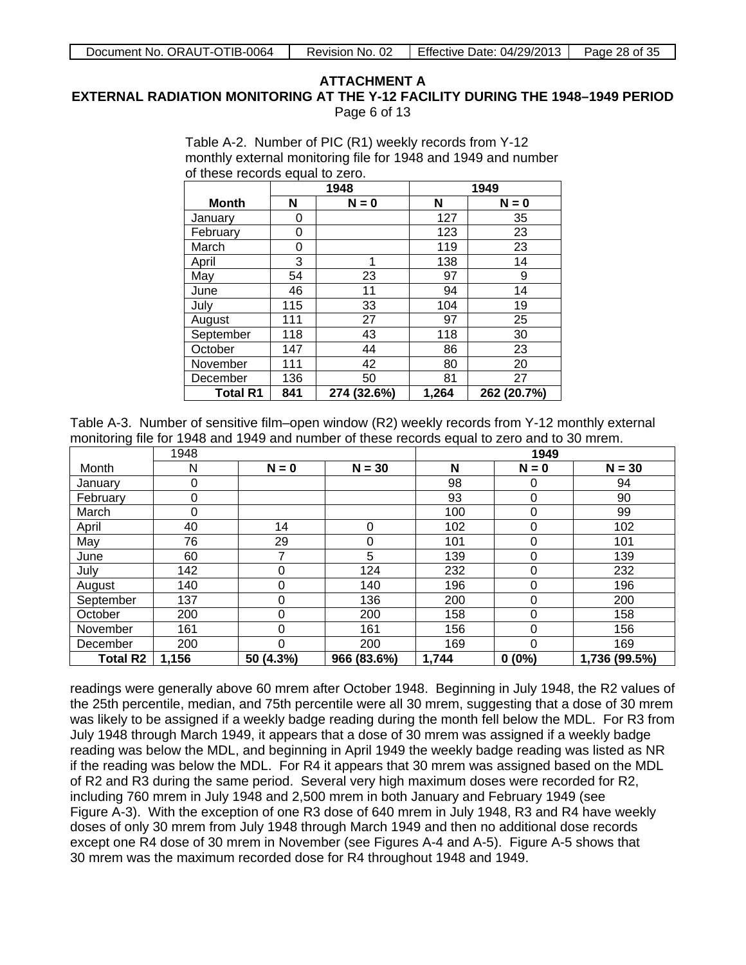**EXTERNAL RADIATION MONITORING AT THE Y-12 FACILITY DURING THE 1948–1949 PERIOD** Page 6 of 13

> Table A-2. Number of PIC (R1) weekly records from Y-12 monthly external monitoring file for 1948 and 1949 and number of these records equal to zero.

|                 | 1948         |             |       | 1949        |
|-----------------|--------------|-------------|-------|-------------|
| <b>Month</b>    | N<br>$N = 0$ |             | N     | $N = 0$     |
| Januarv         | 0            |             | 127   | 35          |
| February        | 0            |             | 123   | 23          |
| March           | 0            |             | 119   | 23          |
| April           | 3            | 1           | 138   | 14          |
| May             | 54           | 23          | 97    | 9           |
| June            | 46           | 11          | 94    | 14          |
| Julv            | 115          | 33          | 104   | 19          |
| August          | 111          | 27          | 97    | 25          |
| September       | 118          | 43          | 118   | 30          |
| October         | 147          | 44          | 86    | 23          |
| November        | 111          | 42          | 80    | 20          |
| December        | 136          | 50          | 81    | 27          |
| <b>Total R1</b> | 841          | 274 (32.6%) | 1,264 | 262 (20.7%) |

Table A-3. Number of sensitive film–open window (R2) weekly records from Y-12 monthly external monitoring file for 1948 and 1949 and number of these records equal to zero and to 30 mrem.

|                 | 1948  |           |             |       | 1949     |               |
|-----------------|-------|-----------|-------------|-------|----------|---------------|
| Month           | N     | $N = 0$   | $N = 30$    | N     | $N = 0$  | $N = 30$      |
| January         | 0     |           |             | 98    | 0        | 94            |
| February        | 0     |           |             | 93    | 0        | 90            |
| March           | 0     |           |             | 100   | 0        | 99            |
| April           | 40    | 14        | 0           | 102   | 0        | 102           |
| May             | 76    | 29        | 0           | 101   | 0        | 101           |
| June            | 60    | 7         | 5           | 139   | 0        | 139           |
| July            | 142   | 0         | 124         | 232   | 0        | 232           |
| August          | 140   | 0         | 140         | 196   | 0        | 196           |
| September       | 137   | 0         | 136         | 200   | 0        | 200           |
| October         | 200   | 0         | 200         | 158   | 0        | 158           |
| November        | 161   | 0         | 161         | 156   | 0        | 156           |
| December        | 200   | 0         | 200         | 169   | 0        | 169           |
| <b>Total R2</b> | 1,156 | 50 (4.3%) | 966 (83.6%) | 1,744 | $0(0\%)$ | 1,736 (99.5%) |

readings were generally above 60 mrem after October 1948. Beginning in July 1948, the R2 values of the 25th percentile, median, and 75th percentile were all 30 mrem, suggesting that a dose of 30 mrem was likely to be assigned if a weekly badge reading during the month fell below the MDL. For R3 from July 1948 through March 1949, it appears that a dose of 30 mrem was assigned if a weekly badge reading was below the MDL, and beginning in April 1949 the weekly badge reading was listed as NR if the reading was below the MDL. For R4 it appears that 30 mrem was assigned based on the MDL of R2 and R3 during the same period. Several very high maximum doses were recorded for R2, including 760 mrem in July 1948 and 2,500 mrem in both January and February 1949 (see Figure A-3). With the exception of one R3 dose of 640 mrem in July 1948, R3 and R4 have weekly doses of only 30 mrem from July 1948 through March 1949 and then no additional dose records except one R4 dose of 30 mrem in November (see Figures A-4 and A-5). Figure A-5 shows that 30 mrem was the maximum recorded dose for R4 throughout 1948 and 1949.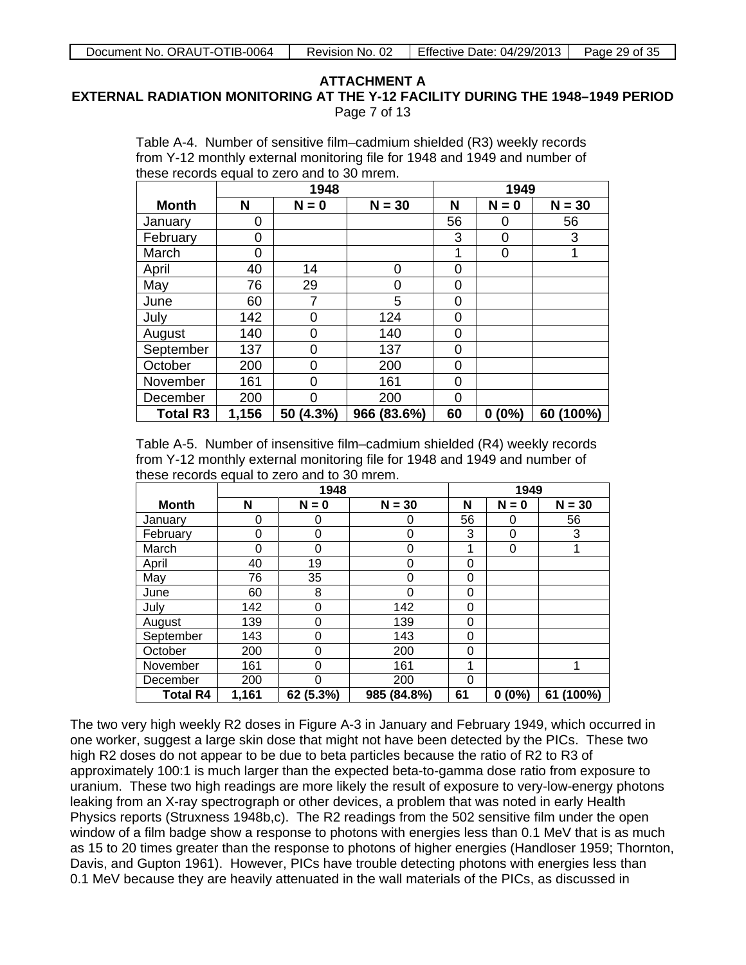**EXTERNAL RADIATION MONITORING AT THE Y-12 FACILITY DURING THE 1948–1949 PERIOD** Page 7 of 13

> Table A-4. Number of sensitive film–cadmium shielded (R3) weekly records from Y-12 monthly external monitoring file for 1948 and 1949 and number of these records equal to zero and to 30 mrem.

|                 | 1948  |           |             |    | 1949      |           |
|-----------------|-------|-----------|-------------|----|-----------|-----------|
| <b>Month</b>    | N     | $N = 0$   | $N = 30$    | N  | $N = 0$   | $N = 30$  |
| January         | 0     |           |             | 56 | 0         | 56        |
| February        | 0     |           |             | 3  | 0         | 3         |
| March           | 0     |           |             | 1  | 0         |           |
| April           | 40    | 14        | $\Omega$    | 0  |           |           |
| May             | 76    | 29        | 0           | 0  |           |           |
| June            | 60    | 7         | 5           | 0  |           |           |
| July            | 142   | 0         | 124         | 0  |           |           |
| August          | 140   | 0         | 140         | 0  |           |           |
| September       | 137   | 0         | 137         | 0  |           |           |
| October         | 200   | $\Omega$  | 200         | 0  |           |           |
| November        | 161   | 0         | 161         | 0  |           |           |
| December        | 200   | O         | 200         | 0  |           |           |
| <b>Total R3</b> | 1,156 | 50 (4.3%) | 966 (83.6%) | 60 | (0%)<br>0 | 60 (100%) |

Table A-5. Number of insensitive film–cadmium shielded (R4) weekly records from Y-12 monthly external monitoring file for 1948 and 1949 and number of these records equal to zero and to 30 mrem.

|                 |          | 1948        |             |          | 1949     |           |
|-----------------|----------|-------------|-------------|----------|----------|-----------|
| <b>Month</b>    | N        | $N = 0$     | $N = 30$    | N        | $N = 0$  | $N = 30$  |
| January         | $\Omega$ | 0           | 0           | 56       | 0        | 56        |
| February        | 0        | 0           | 0           | 3        | 0        | 3         |
| March           | $\Omega$ | 0           | 0           | 1        | 0        |           |
| April           | 40       | 19          | 0           | 0        |          |           |
| May             | 76       | 35          | 0           | 0        |          |           |
| June            | 60       | 8           | 0           | 0        |          |           |
| July            | 142      | $\mathbf 0$ | 142         | 0        |          |           |
| August          | 139      | 0           | 139         | 0        |          |           |
| September       | 143      | 0           | 143         | 0        |          |           |
| October         | 200      | 0           | 200         | 0        |          |           |
| November        | 161      | $\Omega$    | 161         | 1        |          |           |
| December        | 200      | $\Omega$    | 200         | $\Omega$ |          |           |
| <b>Total R4</b> | 1,161    | 62 (5.3%)   | 985 (84.8%) | 61       | $0(0\%)$ | 61 (100%) |

The two very high weekly R2 doses in Figure A-3 in January and February 1949, which occurred in one worker, suggest a large skin dose that might not have been detected by the PICs. These two high R2 doses do not appear to be due to beta particles because the ratio of R2 to R3 of approximately 100:1 is much larger than the expected beta-to-gamma dose ratio from exposure to uranium. These two high readings are more likely the result of exposure to very-low-energy photons leaking from an X-ray spectrograph or other devices, a problem that was noted in early Health Physics reports (Struxness 1948b,c). The R2 readings from the 502 sensitive film under the open window of a film badge show a response to photons with energies less than 0.1 MeV that is as much as 15 to 20 times greater than the response to photons of higher energies (Handloser 1959; Thornton, Davis, and Gupton 1961). However, PICs have trouble detecting photons with energies less than 0.1 MeV because they are heavily attenuated in the wall materials of the PICs, as discussed in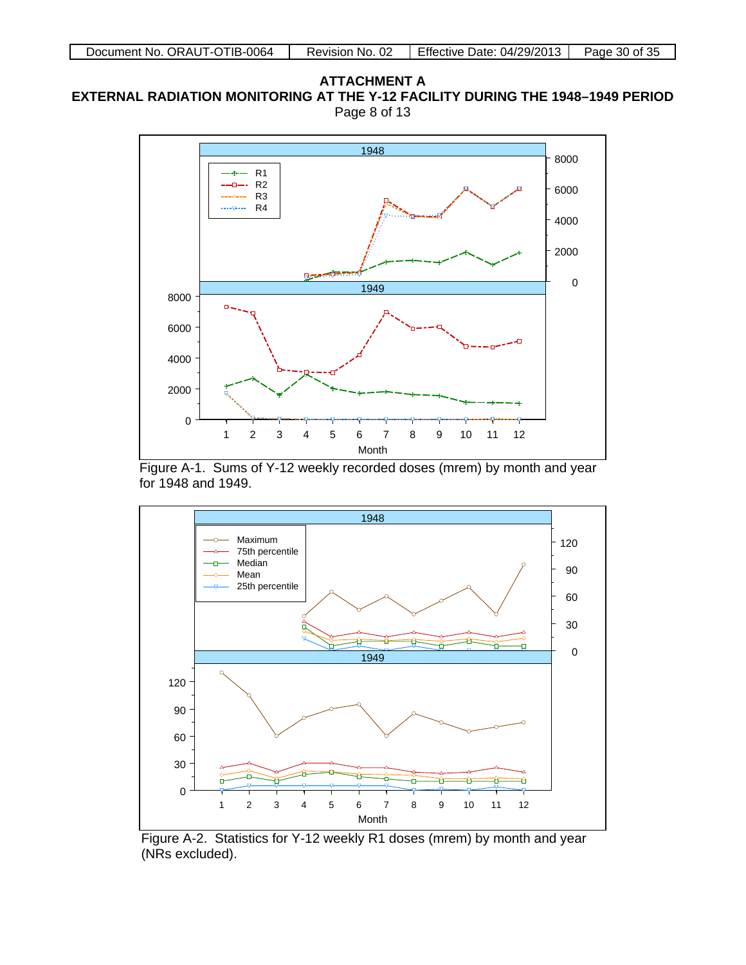# **ATTACHMENT A EXTERNAL RADIATION MONITORING AT THE Y-12 FACILITY DURING THE 1948–1949 PERIOD** Page 8 of 13







Figure A-2. Statistics for Y-12 weekly R1 doses (mrem) by month and year (NRs excluded).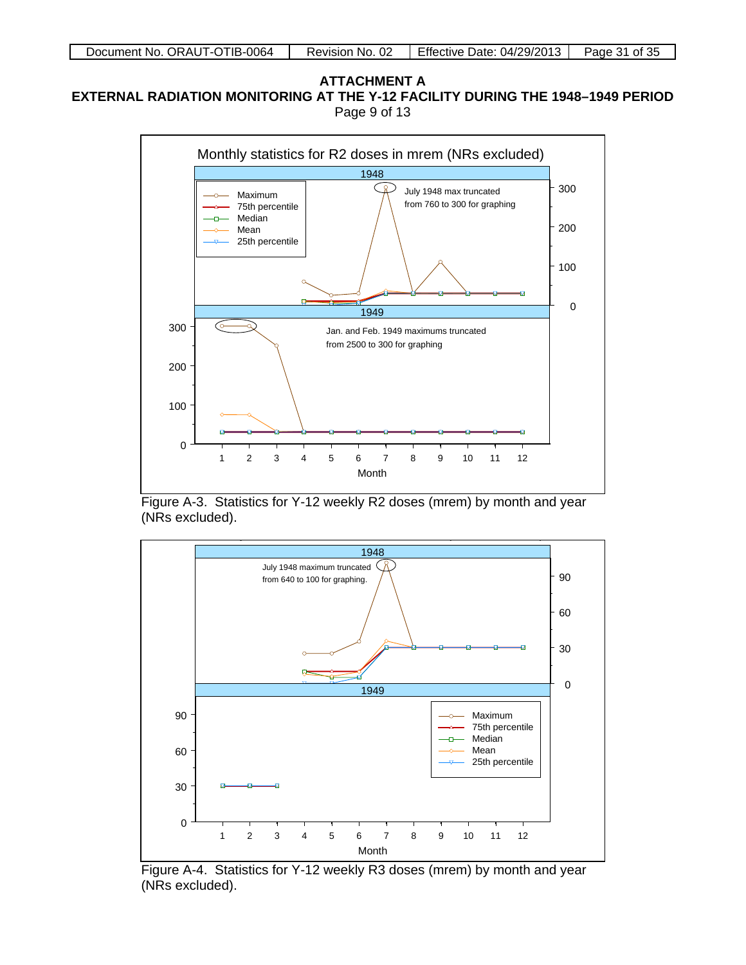### **ATTACHMENT A EXTERNAL RADIATION MONITORING AT THE Y-12 FACILITY DURING THE 1948–1949 PERIOD** Page 9 of 13



Figure A-3. Statistics for Y-12 weekly R2 doses (mrem) by month and year (NRs excluded).



Figure A-4. Statistics for Y-12 weekly R3 doses (mrem) by month and year (NRs excluded).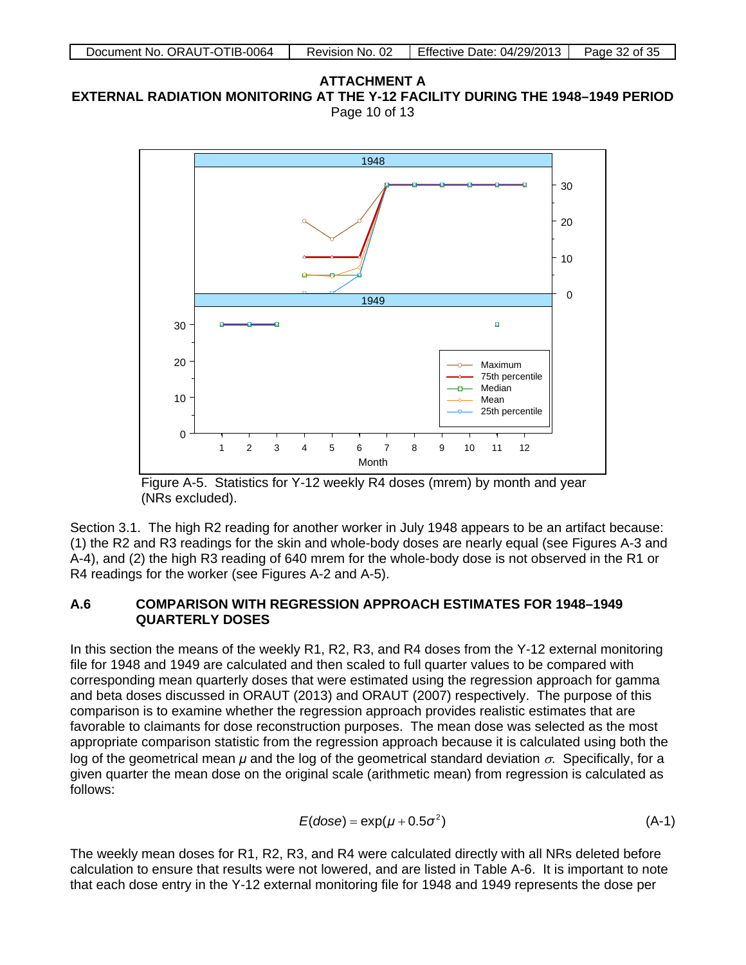**ATTACHMENT A EXTERNAL RADIATION MONITORING AT THE Y-12 FACILITY DURING THE 1948–1949 PERIOD** Page 10 of 13



Figure A-5. Statistics for Y-12 weekly R4 doses (mrem) by month and year (NRs excluded).

Section 3.1. The high R2 reading for another worker in July 1948 appears to be an artifact because: (1) the R2 and R3 readings for the skin and whole-body doses are nearly equal (see Figures A-3 and A-4), and (2) the high R3 reading of 640 mrem for the whole-body dose is not observed in the R1 or R4 readings for the worker (see Figures A-2 and A-5).

# **A.6 COMPARISON WITH REGRESSION APPROACH ESTIMATES FOR 1948–1949 QUARTERLY DOSES**

In this section the means of the weekly R1, R2, R3, and R4 doses from the Y-12 external monitoring file for 1948 and 1949 are calculated and then scaled to full quarter values to be compared with corresponding mean quarterly doses that were estimated using the regression approach for gamma and beta doses discussed in ORAUT (2013) and ORAUT (2007) respectively. The purpose of this comparison is to examine whether the regression approach provides realistic estimates that are favorable to claimants for dose reconstruction purposes. The mean dose was selected as the most appropriate comparison statistic from the regression approach because it is calculated using both the log of the geometrical mean  $\mu$  and the log of the geometrical standard deviation  $\sigma$ . Specifically, for a given quarter the mean dose on the original scale (arithmetic mean) from regression is calculated as follows:

$$
E(dose) = \exp(\mu + 0.5\sigma^2)
$$
 (A-1)

The weekly mean doses for R1, R2, R3, and R4 were calculated directly with all NRs deleted before calculation to ensure that results were not lowered, and are listed in Table A-6. It is important to note that each dose entry in the Y-12 external monitoring file for 1948 and 1949 represents the dose per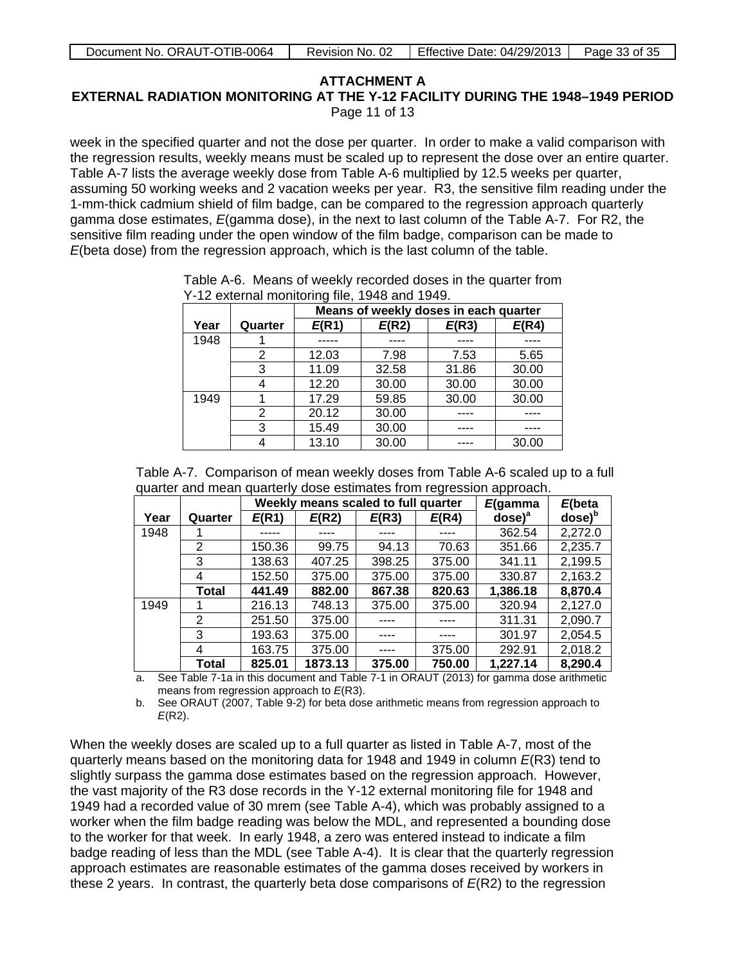**EXTERNAL RADIATION MONITORING AT THE Y-12 FACILITY DURING THE 1948–1949 PERIOD** Page 11 of 13

week in the specified quarter and not the dose per quarter. In order to make a valid comparison with the regression results, weekly means must be scaled up to represent the dose over an entire quarter. Table A-7 lists the average weekly dose from Table A-6 multiplied by 12.5 weeks per quarter, assuming 50 working weeks and 2 vacation weeks per year. R3, the sensitive film reading under the 1-mm-thick cadmium shield of film badge, can be compared to the regression approach quarterly gamma dose estimates, *E*(gamma dose), in the next to last column of the Table A-7. For R2, the sensitive film reading under the open window of the film badge, comparison can be made to *E*(beta dose) from the regression approach, which is the last column of the table.

|      |         | Means of weekly doses in each quarter |       |       |       |  |  |  |
|------|---------|---------------------------------------|-------|-------|-------|--|--|--|
| Year | Quarter | E(R1)                                 | E(R2) | E(R3) | E(R4) |  |  |  |
| 1948 |         |                                       |       |       |       |  |  |  |
|      | 2       | 12.03                                 | 7.98  | 7.53  | 5.65  |  |  |  |
|      | 3       | 11.09                                 | 32.58 | 31.86 | 30.00 |  |  |  |
|      | 4       | 12.20                                 | 30.00 | 30.00 | 30.00 |  |  |  |
| 1949 |         | 17.29                                 | 59.85 | 30.00 | 30.00 |  |  |  |
|      | 2       | 20.12                                 | 30.00 |       |       |  |  |  |
|      | 3       | 15.49                                 | 30.00 |       |       |  |  |  |
|      |         | 13.10                                 | 30.00 |       | 30.00 |  |  |  |

Table A-6. Means of weekly recorded doses in the quarter from Y-12 external monitoring file, 1948 and 1949.

| Table A-7. Comparison of mean weekly doses from Table A-6 scaled up to a full |  |
|-------------------------------------------------------------------------------|--|
| quarter and mean quarterly dose estimates from regression approach.           |  |

|      |         |        | Weekly means scaled to full quarter |        |        |                                | $E$ (beta                    |
|------|---------|--------|-------------------------------------|--------|--------|--------------------------------|------------------------------|
| Year | Quarter | E(R1)  | E(R2)                               | E(R3)  | E(R4)  | $\mathsf{dose}$ ) <sup>a</sup> | $\mathsf{dose}$ <sup>b</sup> |
| 1948 |         |        | ----                                |        |        | 362.54                         | 2,272.0                      |
|      | 2       | 150.36 | 99.75                               | 94.13  | 70.63  | 351.66                         | 2,235.7                      |
|      | 3       | 138.63 | 407.25                              | 398.25 | 375.00 | 341.11                         | 2,199.5                      |
|      | 4       | 152.50 | 375.00                              | 375.00 | 375.00 | 330.87                         | 2,163.2                      |
|      | Total   | 441.49 | 882.00                              | 867.38 | 820.63 | 1,386.18                       | 8,870.4                      |
| 1949 |         | 216.13 | 748.13                              | 375.00 | 375.00 | 320.94                         | 2,127.0                      |
|      | 2       | 251.50 | 375.00                              |        |        | 311.31                         | 2,090.7                      |
|      | 3       | 193.63 | 375.00                              |        |        | 301.97                         | 2,054.5                      |
|      | 4       | 163.75 | 375.00                              |        | 375.00 | 292.91                         | 2,018.2                      |
|      | Total   | 825.01 | 1873.13                             | 375.00 | 750.00 | 1,227.14                       | 8,290.4                      |

a. See Table 7-1a in this document and Table 7-1 in ORAUT (2013) for gamma dose arithmetic means from regression approach to *E*(R3).

b. See ORAUT (2007, Table 9-2) for beta dose arithmetic means from regression approach to *E*(R2).

When the weekly doses are scaled up to a full quarter as listed in Table A-7, most of the quarterly means based on the monitoring data for 1948 and 1949 in column *E*(R3) tend to slightly surpass the gamma dose estimates based on the regression approach. However, the vast majority of the R3 dose records in the Y-12 external monitoring file for 1948 and 1949 had a recorded value of 30 mrem (see Table A-4), which was probably assigned to a worker when the film badge reading was below the MDL, and represented a bounding dose to the worker for that week. In early 1948, a zero was entered instead to indicate a film badge reading of less than the MDL (see Table A-4). It is clear that the quarterly regression approach estimates are reasonable estimates of the gamma doses received by workers in these 2 years. In contrast, the quarterly beta dose comparisons of *E*(R2) to the regression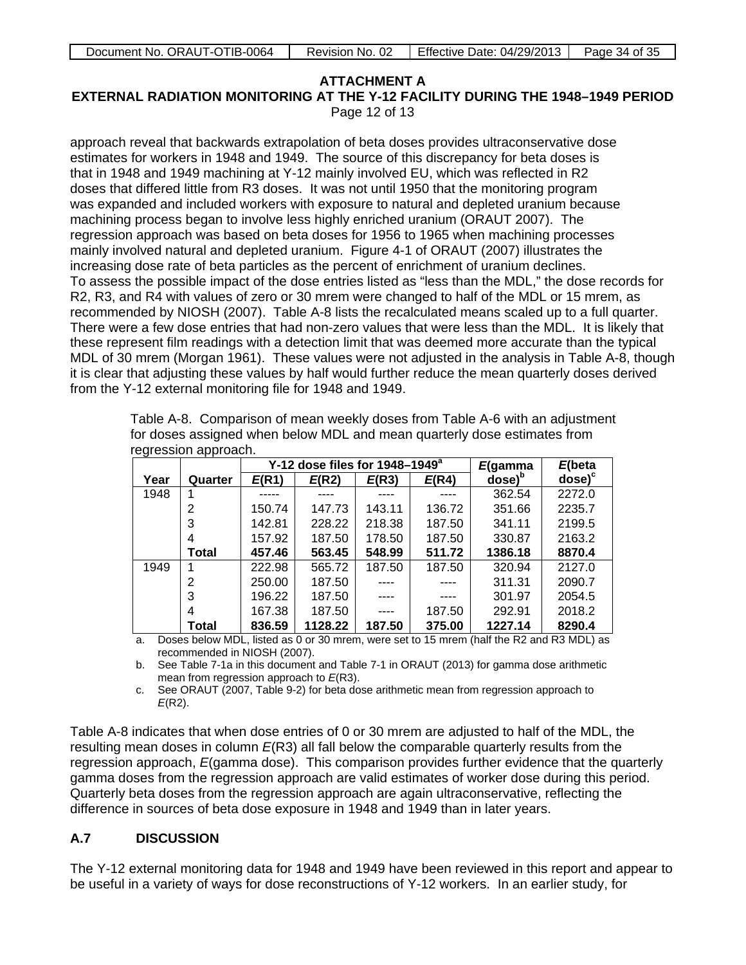| Document No. ORAUT-OTIB-0064 | Revision No. 02 | Effective Date: 04/29/2013 | Page 34 of 35 |
|------------------------------|-----------------|----------------------------|---------------|
|                              |                 |                            |               |

**EXTERNAL RADIATION MONITORING AT THE Y-12 FACILITY DURING THE 1948–1949 PERIOD** Page 12 of 13

approach reveal that backwards extrapolation of beta doses provides ultraconservative dose estimates for workers in 1948 and 1949. The source of this discrepancy for beta doses is that in 1948 and 1949 machining at Y-12 mainly involved EU, which was reflected in R2 doses that differed little from R3 doses. It was not until 1950 that the monitoring program was expanded and included workers with exposure to natural and depleted uranium because machining process began to involve less highly enriched uranium (ORAUT 2007). The regression approach was based on beta doses for 1956 to 1965 when machining processes mainly involved natural and depleted uranium. Figure 4-1 of ORAUT (2007) illustrates the increasing dose rate of beta particles as the percent of enrichment of uranium declines. To assess the possible impact of the dose entries listed as "less than the MDL," the dose records for R2, R3, and R4 with values of zero or 30 mrem were changed to half of the MDL or 15 mrem, as recommended by NIOSH (2007). Table A-8 lists the recalculated means scaled up to a full quarter. There were a few dose entries that had non-zero values that were less than the MDL. It is likely that these represent film readings with a detection limit that was deemed more accurate than the typical MDL of 30 mrem (Morgan 1961). These values were not adjusted in the analysis in Table A-8, though it is clear that adjusting these values by half would further reduce the mean quarterly doses derived from the Y-12 external monitoring file for 1948 and 1949.

|      |         |        | Y-12 dose files for 1948-1949 <sup>a</sup> | E(gamma | $E$ (beta |                              |           |
|------|---------|--------|--------------------------------------------|---------|-----------|------------------------------|-----------|
| Year | Quarter | E(R1)  | E(R2)                                      | E(R3)   | E(R4)     | $\mathsf{dose}$ <sup>b</sup> | $dose)^c$ |
| 1948 |         |        |                                            |         |           | 362.54                       | 2272.0    |
|      | 2       | 150.74 | 147.73                                     | 143.11  | 136.72    | 351.66                       | 2235.7    |
|      | 3       | 142.81 | 228.22                                     | 218.38  | 187.50    | 341.11                       | 2199.5    |
|      |         | 157.92 | 187.50                                     | 178.50  | 187.50    | 330.87                       | 2163.2    |
|      | Total   | 457.46 | 563.45                                     | 548.99  | 511.72    | 1386.18                      | 8870.4    |
| 1949 |         | 222.98 | 565.72                                     | 187.50  | 187.50    | 320.94                       | 2127.0    |
|      | 2       | 250.00 | 187.50                                     |         |           | 311.31                       | 2090.7    |
|      | 3       | 196.22 | 187.50                                     |         |           | 301.97                       | 2054.5    |
|      | 4       | 167.38 | 187.50                                     | ----    | 187.50    | 292.91                       | 2018.2    |
|      | Total   | 836.59 | 1128.22                                    | 187.50  | 375.00    | 1227.14                      | 8290.4    |

Table A-8. Comparison of mean weekly doses from Table A-6 with an adjustment for doses assigned when below MDL and mean quarterly dose estimates from regression approach.

a. Doses below MDL, listed as 0 or 30 mrem, were set to 15 mrem (half the R2 and R3 MDL) as recommended in NIOSH (2007).

b. See Table 7-1a in this document and Table 7-1 in ORAUT (2013) for gamma dose arithmetic mean from regression approach to *E*(R3).

c. See ORAUT (2007, Table 9-2) for beta dose arithmetic mean from regression approach to *E*(R2).

Table A-8 indicates that when dose entries of 0 or 30 mrem are adjusted to half of the MDL, the resulting mean doses in column *E*(R3) all fall below the comparable quarterly results from the regression approach, *E*(gamma dose). This comparison provides further evidence that the quarterly gamma doses from the regression approach are valid estimates of worker dose during this period. Quarterly beta doses from the regression approach are again ultraconservative, reflecting the difference in sources of beta dose exposure in 1948 and 1949 than in later years.

# **A.7 DISCUSSION**

The Y-12 external monitoring data for 1948 and 1949 have been reviewed in this report and appear to be useful in a variety of ways for dose reconstructions of Y-12 workers. In an earlier study, for